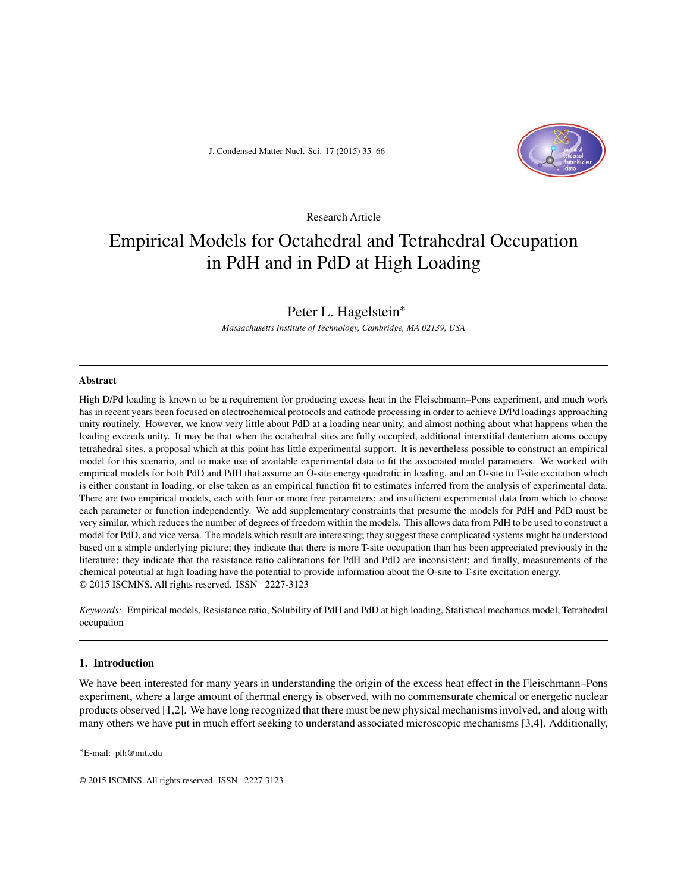J. Condensed Matter Nucl. Sci. 17 (2015) 35–66



Research Article

# Empirical Models for Octahedral and Tetrahedral Occupation in PdH and in PdD at High Loading

# Peter L. Hagelstein∗

*Massachusetts Institute of Technology, Cambridge, MA 02139, USA*

#### **Abstract**

High D/Pd loading is known to be a requirement for producing excess heat in the Fleischmann–Pons experiment, and much work has in recent years been focused on electrochemical protocols and cathode processing in order to achieve D/Pd loadings approaching unity routinely. However, we know very little about PdD at a loading near unity, and almost nothing about what happens when the loading exceeds unity. It may be that when the octahedral sites are fully occupied, additional interstitial deuterium atoms occupy tetrahedral sites, a proposal which at this point has little experimental support. It is nevertheless possible to construct an empirical model for this scenario, and to make use of available experimental data to fit the associated model parameters. We worked with empirical models for both PdD and PdH that assume an O-site energy quadratic in loading, and an O-site to T-site excitation which is either constant in loading, or else taken as an empirical function fit to estimates inferred from the analysis of experimental data. There are two empirical models, each with four or more free parameters; and insufficient experimental data from which to choose each parameter or function independently. We add supplementary constraints that presume the models for PdH and PdD must be very similar, which reduces the number of degrees of freedom within the models. This allows data from PdH to be used to construct a model for PdD, and vice versa. The models which result are interesting; they suggest these complicated systems might be understood based on a simple underlying picture; they indicate that there is more T-site occupation than has been appreciated previously in the literature; they indicate that the resistance ratio calibrations for PdH and PdD are inconsistent; and finally, measurements of the chemical potential at high loading have the potential to provide information about the O-site to T-site excitation energy. © 2015 ISCMNS. All rights reserved. ISSN 2227-3123

*Keywords:* Empirical models, Resistance ratio, Solubility of PdH and PdD at high loading, Statistical mechanics model, Tetrahedral occupation

# **1. Introduction**

We have been interested for many years in understanding the origin of the excess heat effect in the Fleischmann–Pons experiment, where a large amount of thermal energy is observed, with no commensurate chemical or energetic nuclear products observed [1,2]. We have long recognized that there must be new physical mechanisms involved, and along with many others we have put in much effort seeking to understand associated microscopic mechanisms [3,4]. Additionally,

<sup>∗</sup>E-mail: plh@mit.edu

<sup>© 2015</sup> ISCMNS. All rights reserved. ISSN 2227-3123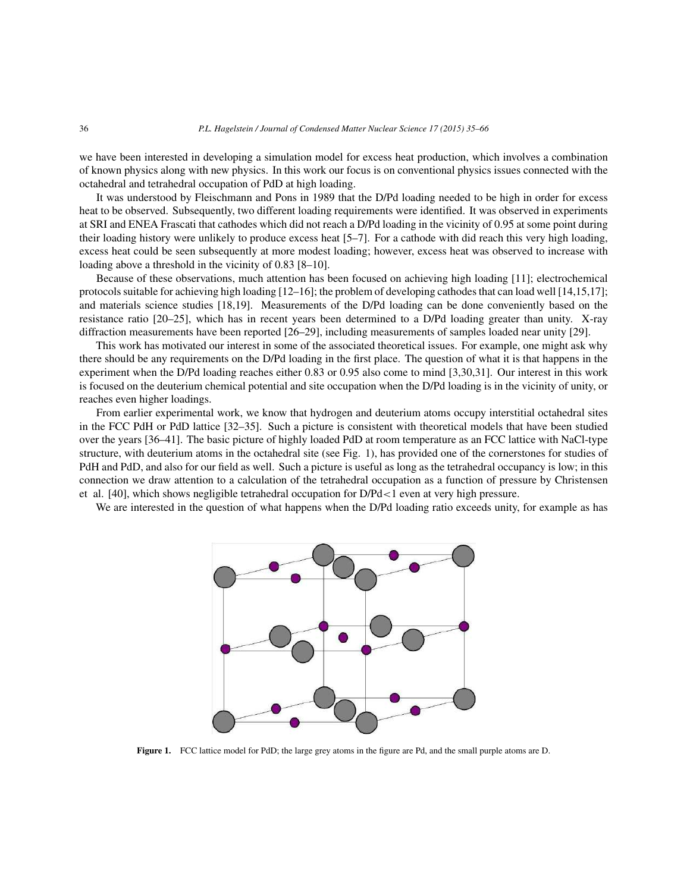we have been interested in developing a simulation model for excess heat production, which involves a combination of known physics along with new physics. In this work our focus is on conventional physics issues connected with the octahedral and tetrahedral occupation of PdD at high loading.

It was understood by Fleischmann and Pons in 1989 that the D/Pd loading needed to be high in order for excess heat to be observed. Subsequently, two different loading requirements were identified. It was observed in experiments at SRI and ENEA Frascati that cathodes which did not reach a D/Pd loading in the vicinity of 0.95 at some point during their loading history were unlikely to produce excess heat [5–7]. For a cathode with did reach this very high loading, excess heat could be seen subsequently at more modest loading; however, excess heat was observed to increase with loading above a threshold in the vicinity of 0.83 [8–10].

Because of these observations, much attention has been focused on achieving high loading [11]; electrochemical protocols suitable for achieving high loading [12–16]; the problem of developing cathodes that can load well [14,15,17]; and materials science studies [18,19]. Measurements of the D/Pd loading can be done conveniently based on the resistance ratio [20–25], which has in recent years been determined to a D/Pd loading greater than unity. X-ray diffraction measurements have been reported [26–29], including measurements of samples loaded near unity [29].

This work has motivated our interest in some of the associated theoretical issues. For example, one might ask why there should be any requirements on the D/Pd loading in the first place. The question of what it is that happens in the experiment when the D/Pd loading reaches either 0.83 or 0.95 also come to mind [3,30,31]. Our interest in this work is focused on the deuterium chemical potential and site occupation when the D/Pd loading is in the vicinity of unity, or reaches even higher loadings.

From earlier experimental work, we know that hydrogen and deuterium atoms occupy interstitial octahedral sites in the FCC PdH or PdD lattice [32–35]. Such a picture is consistent with theoretical models that have been studied over the years [36–41]. The basic picture of highly loaded PdD at room temperature as an FCC lattice with NaCl-type structure, with deuterium atoms in the octahedral site (see Fig. 1), has provided one of the cornerstones for studies of PdH and PdD, and also for our field as well. Such a picture is useful as long as the tetrahedral occupancy is low; in this connection we draw attention to a calculation of the tetrahedral occupation as a function of pressure by Christensen et al. [40], which shows negligible tetrahedral occupation for D/Pd<1 even at very high pressure.

We are interested in the question of what happens when the D/Pd loading ratio exceeds unity, for example as has



**Figure 1.** FCC lattice model for PdD; the large grey atoms in the figure are Pd, and the small purple atoms are D.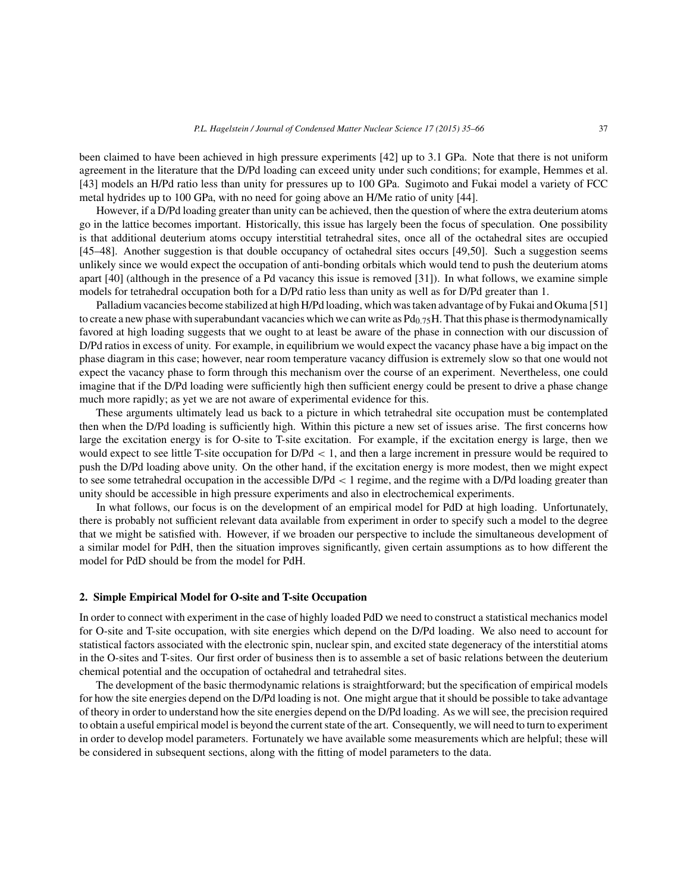been claimed to have been achieved in high pressure experiments [42] up to 3.1 GPa. Note that there is not uniform agreement in the literature that the D/Pd loading can exceed unity under such conditions; for example, Hemmes et al. [43] models an H/Pd ratio less than unity for pressures up to 100 GPa. Sugimoto and Fukai model a variety of FCC metal hydrides up to 100 GPa, with no need for going above an H/Me ratio of unity [44].

However, if a D/Pd loading greater than unity can be achieved, then the question of where the extra deuterium atoms go in the lattice becomes important. Historically, this issue has largely been the focus of speculation. One possibility is that additional deuterium atoms occupy interstitial tetrahedral sites, once all of the octahedral sites are occupied [45–48]. Another suggestion is that double occupancy of octahedral sites occurs [49,50]. Such a suggestion seems unlikely since we would expect the occupation of anti-bonding orbitals which would tend to push the deuterium atoms apart [40] (although in the presence of a Pd vacancy this issue is removed [31]). In what follows, we examine simple models for tetrahedral occupation both for a D/Pd ratio less than unity as well as for D/Pd greater than 1.

Palladium vacancies become stabilized at high H/Pd loading, which was taken advantage of by Fukai and Okuma [51] to create a new phase with superabundant vacancies which we can write as  $Pd_{0.75}H$ . That this phase is thermodynamically favored at high loading suggests that we ought to at least be aware of the phase in connection with our discussion of D/Pd ratios in excess of unity. For example, in equilibrium we would expect the vacancy phase have a big impact on the phase diagram in this case; however, near room temperature vacancy diffusion is extremely slow so that one would not expect the vacancy phase to form through this mechanism over the course of an experiment. Nevertheless, one could imagine that if the D/Pd loading were sufficiently high then sufficient energy could be present to drive a phase change much more rapidly; as yet we are not aware of experimental evidence for this.

These arguments ultimately lead us back to a picture in which tetrahedral site occupation must be contemplated then when the D/Pd loading is sufficiently high. Within this picture a new set of issues arise. The first concerns how large the excitation energy is for O-site to T-site excitation. For example, if the excitation energy is large, then we would expect to see little T-site occupation for D/Pd < 1, and then a large increment in pressure would be required to push the D/Pd loading above unity. On the other hand, if the excitation energy is more modest, then we might expect to see some tetrahedral occupation in the accessible D/Pd < 1 regime, and the regime with a D/Pd loading greater than unity should be accessible in high pressure experiments and also in electrochemical experiments.

In what follows, our focus is on the development of an empirical model for PdD at high loading. Unfortunately, there is probably not sufficient relevant data available from experiment in order to specify such a model to the degree that we might be satisfied with. However, if we broaden our perspective to include the simultaneous development of a similar model for PdH, then the situation improves significantly, given certain assumptions as to how different the model for PdD should be from the model for PdH.

# **2. Simple Empirical Model for O-site and T-site Occupation**

In order to connect with experiment in the case of highly loaded PdD we need to construct a statistical mechanics model for O-site and T-site occupation, with site energies which depend on the D/Pd loading. We also need to account for statistical factors associated with the electronic spin, nuclear spin, and excited state degeneracy of the interstitial atoms in the O-sites and T-sites. Our first order of business then is to assemble a set of basic relations between the deuterium chemical potential and the occupation of octahedral and tetrahedral sites.

The development of the basic thermodynamic relations is straightforward; but the specification of empirical models for how the site energies depend on the D/Pd loading is not. One might argue that it should be possible to take advantage of theory in order to understand how the site energies depend on the D/Pd loading. As we will see, the precision required to obtain a useful empirical model is beyond the current state of the art. Consequently, we will need to turn to experiment in order to develop model parameters. Fortunately we have available some measurements which are helpful; these will be considered in subsequent sections, along with the fitting of model parameters to the data.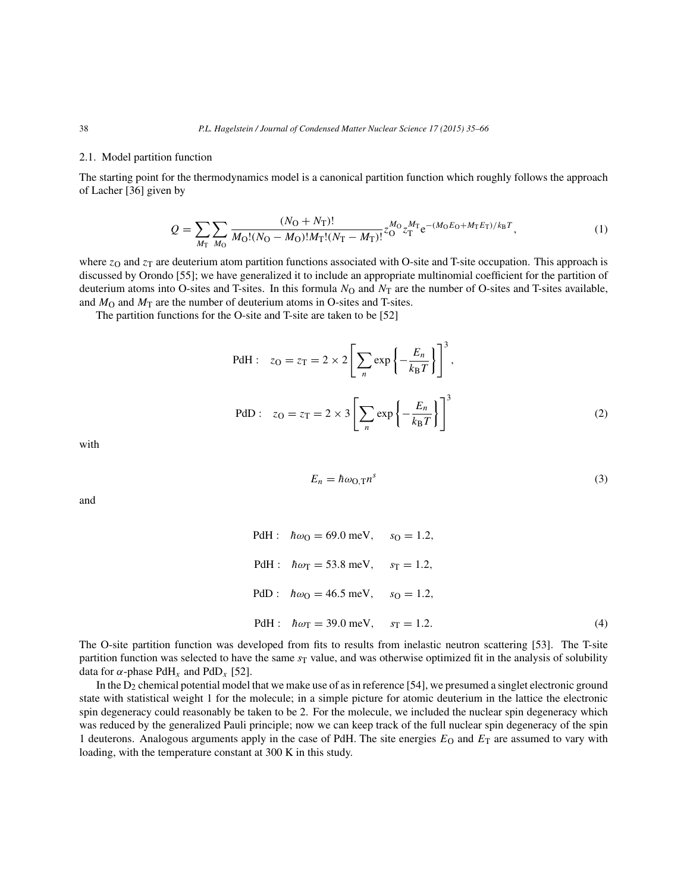#### 2.1. Model partition function

The starting point for the thermodynamics model is a canonical partition function which roughly follows the approach of Lacher [36] given by

$$
Q = \sum_{M_{\rm T}} \sum_{M_{\rm O}} \frac{(N_{\rm O} + N_{\rm T})!}{M_{\rm O}!(N_{\rm O} - M_{\rm O})!M_{\rm T}!(N_{\rm T} - M_{\rm T})!} z_{\rm O}^{M_{\rm O}} z_{\rm T}^{M_{\rm T}} e^{-(M_{\rm O}E_{\rm O} + M_{\rm T}E_{\rm T})/k_{\rm B}T},\tag{1}
$$

where  $z<sub>O</sub>$  and  $z<sub>T</sub>$  are deuterium atom partition functions associated with O-site and T-site occupation. This approach is discussed by Orondo [55]; we have generalized it to include an appropriate multinomial coefficient for the partition of deuterium atoms into O-sites and T-sites. In this formula  $N<sub>O</sub>$  and  $N<sub>T</sub>$  are the number of O-sites and T-sites available, and  $M<sub>O</sub>$  and  $M<sub>T</sub>$  are the number of deuterium atoms in O-sites and T-sites.

The partition functions for the O-site and T-site are taken to be [52]

PdH: 
$$
z_O = z_T = 2 \times 2 \left[ \sum_n \exp \left\{-\frac{E_n}{k_B T}\right\} \right]^3
$$
,  
\nPdD:  $z_O = z_T = 2 \times 3 \left[ \sum_n \exp \left\{-\frac{E_n}{k_B T}\right\} \right]^3$  (2)

with

and

$$
E_n = \hbar \omega_{\text{O,T}} n^s \tag{3}
$$

PdH: 
$$
\hbar \omega_0 = 69.0 \text{ meV}, \quad s_0 = 1.2,
$$
  
\nPdH:  $\hbar \omega_T = 53.8 \text{ meV}, \quad s_T = 1.2,$   
\nPdD:  $\hbar \omega_0 = 46.5 \text{ meV}, \quad s_0 = 1.2,$   
\nPdH:  $\hbar \omega_T = 39.0 \text{ meV}, \quad s_T = 1.2.$  (4)

The O-site partition function was developed from fits to results from inelastic neutron scattering [53]. The T-site partition function was selected to have the same  $s<sub>T</sub>$  value, and was otherwise optimized fit in the analysis of solubility data for  $\alpha$ -phase PdH<sub>x</sub> and PdD<sub>x</sub> [52].

In the D<sub>2</sub> chemical potential model that we make use of as in reference [54], we presumed a singlet electronic ground state with statistical weight 1 for the molecule; in a simple picture for atomic deuterium in the lattice the electronic spin degeneracy could reasonably be taken to be 2. For the molecule, we included the nuclear spin degeneracy which was reduced by the generalized Pauli principle; now we can keep track of the full nuclear spin degeneracy of the spin 1 deuterons. Analogous arguments apply in the case of PdH. The site energies  $E<sub>O</sub>$  and  $E<sub>T</sub>$  are assumed to vary with loading, with the temperature constant at 300 K in this study.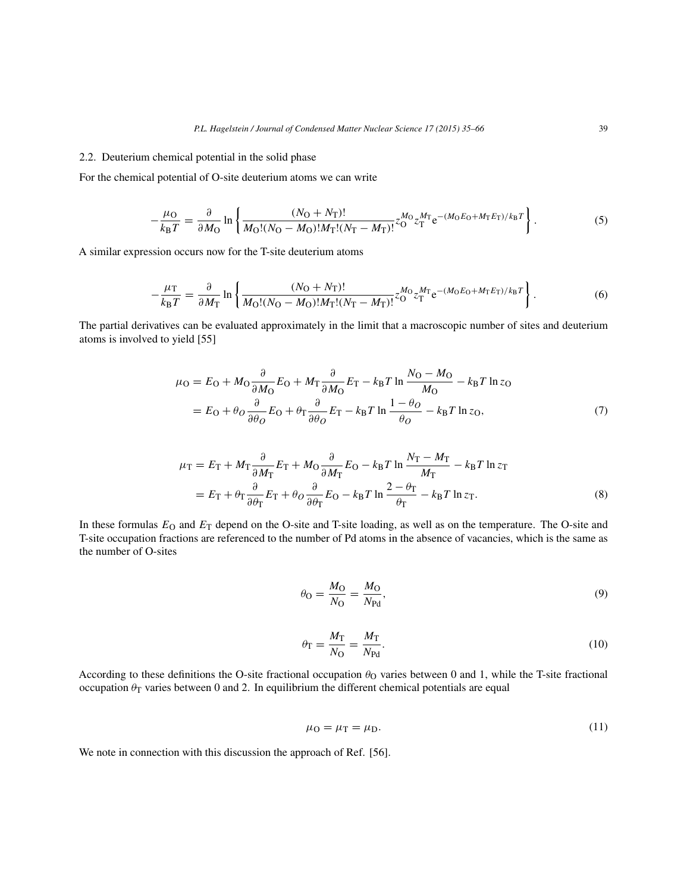## 2.2. Deuterium chemical potential in the solid phase

For the chemical potential of O-site deuterium atoms we can write

$$
-\frac{\mu_{\rm O}}{k_{\rm B}T} = \frac{\partial}{\partial M_{\rm O}} \ln \left\{ \frac{(N_{\rm O} + N_{\rm T})!}{M_{\rm O}!(N_{\rm O} - M_{\rm O})!M_{\rm T}!(N_{\rm T} - M_{\rm T})!} z_{\rm O}^{M_{\rm O}} z_{\rm T}^{M_{\rm T}} e^{-(M_{\rm O}E_{\rm O} + M_{\rm T}E_{\rm T})/k_{\rm B}T} \right\}.
$$
(5)

A similar expression occurs now for the T-site deuterium atoms

$$
-\frac{\mu_{\rm T}}{k_{\rm B}T} = \frac{\partial}{\partial M_{\rm T}} \ln \left\{ \frac{(N_{\rm O} + N_{\rm T})!}{M_{\rm O}!(N_{\rm O} - M_{\rm O})!M_{\rm T}!(N_{\rm T} - M_{\rm T})!} z_{\rm O}^{M_{\rm O}} z_{\rm T}^{M_{\rm T}} e^{-(M_{\rm O}E_{\rm O} + M_{\rm T}E_{\rm T})/k_{\rm B}T} \right\}.
$$
(6)

The partial derivatives can be evaluated approximately in the limit that a macroscopic number of sites and deuterium atoms is involved to yield [55]

$$
\mu_{\rm O} = E_{\rm O} + M_{\rm O} \frac{\partial}{\partial M_{\rm O}} E_{\rm O} + M_{\rm T} \frac{\partial}{\partial M_{\rm O}} E_{\rm T} - k_{\rm B} T \ln \frac{N_{\rm O} - M_{\rm O}}{M_{\rm O}} - k_{\rm B} T \ln z_{\rm O}
$$

$$
= E_{\rm O} + \theta_{\rm O} \frac{\partial}{\partial \theta_{\rm O}} E_{\rm O} + \theta_{\rm T} \frac{\partial}{\partial \theta_{\rm O}} E_{\rm T} - k_{\rm B} T \ln \frac{1 - \theta_{\rm O}}{\theta_{\rm O}} - k_{\rm B} T \ln z_{\rm O}, \tag{7}
$$

$$
\mu_{\rm T} = E_{\rm T} + M_{\rm T} \frac{\partial}{\partial M_{\rm T}} E_{\rm T} + M_{\rm O} \frac{\partial}{\partial M_{\rm T}} E_{\rm O} - k_{\rm B} T \ln \frac{N_{\rm T} - M_{\rm T}}{M_{\rm T}} - k_{\rm B} T \ln z_{\rm T}
$$

$$
= E_{\rm T} + \theta_{\rm T} \frac{\partial}{\partial \theta_{\rm T}} E_{\rm T} + \theta_{\rm O} \frac{\partial}{\partial \theta_{\rm T}} E_{\rm O} - k_{\rm B} T \ln \frac{2 - \theta_{\rm T}}{\theta_{\rm T}} - k_{\rm B} T \ln z_{\rm T}.
$$
(8)

In these formulas  $E_O$  and  $E_T$  depend on the O-site and T-site loading, as well as on the temperature. The O-site and T-site occupation fractions are referenced to the number of Pd atoms in the absence of vacancies, which is the same as the number of O-sites

$$
\theta_{\rm O} = \frac{M_{\rm O}}{N_{\rm O}} = \frac{M_{\rm O}}{N_{\rm Pd}},\tag{9}
$$

$$
\theta_{\rm T} = \frac{M_{\rm T}}{N_{\rm O}} = \frac{M_{\rm T}}{N_{\rm Pd}}.\tag{10}
$$

According to these definitions the O-site fractional occupation  $\theta_0$  varies between 0 and 1, while the T-site fractional occupation  $\theta_T$  varies between 0 and 2. In equilibrium the different chemical potentials are equal

$$
\mu_0 = \mu_T = \mu_D. \tag{11}
$$

We note in connection with this discussion the approach of Ref. [56].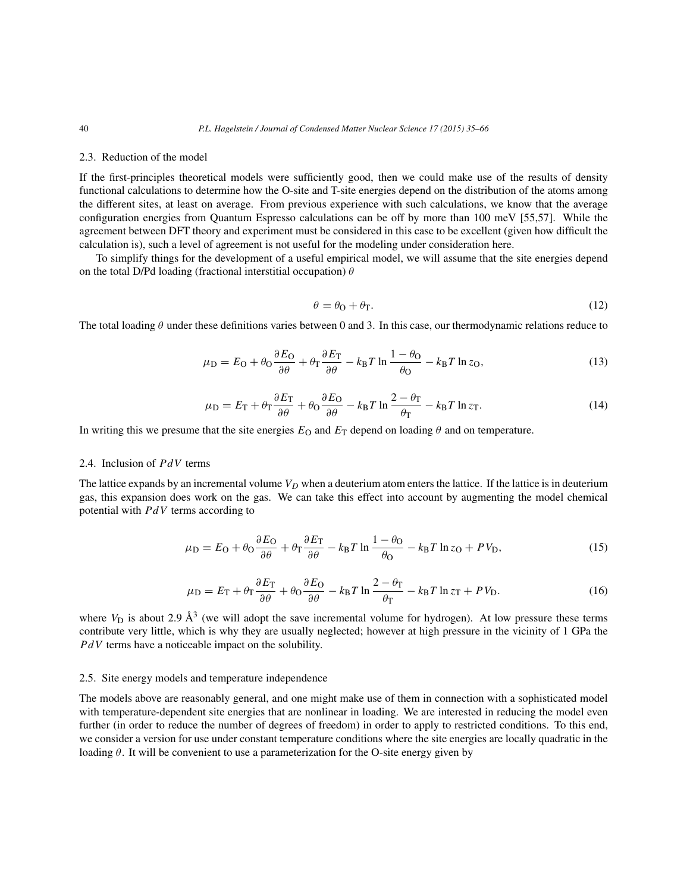#### 2.3. Reduction of the model

If the first-principles theoretical models were sufficiently good, then we could make use of the results of density functional calculations to determine how the O-site and T-site energies depend on the distribution of the atoms among the different sites, at least on average. From previous experience with such calculations, we know that the average configuration energies from Quantum Espresso calculations can be off by more than 100 meV [55,57]. While the agreement between DFT theory and experiment must be considered in this case to be excellent (given how difficult the calculation is), such a level of agreement is not useful for the modeling under consideration here.

To simplify things for the development of a useful empirical model, we will assume that the site energies depend on the total D/Pd loading (fractional interstitial occupation)  $\theta$ 

$$
\theta = \theta_0 + \theta_\Gamma. \tag{12}
$$

The total loading  $\theta$  under these definitions varies between 0 and 3. In this case, our thermodynamic relations reduce to

$$
\mu_{\rm D} = E_{\rm O} + \theta_{\rm O} \frac{\partial E_{\rm O}}{\partial \theta} + \theta_{\rm T} \frac{\partial E_{\rm T}}{\partial \theta} - k_{\rm B} T \ln \frac{1 - \theta_{\rm O}}{\theta_{\rm O}} - k_{\rm B} T \ln z_{\rm O},\tag{13}
$$

$$
\mu_{\rm D} = E_{\rm T} + \theta_{\rm T} \frac{\partial E_{\rm T}}{\partial \theta} + \theta_{\rm O} \frac{\partial E_{\rm O}}{\partial \theta} - k_{\rm B} T \ln \frac{2 - \theta_{\rm T}}{\theta_{\rm T}} - k_{\rm B} T \ln z_{\rm T}.
$$
\n(14)

In writing this we presume that the site energies  $E_{\Omega}$  and  $E_{\text{T}}$  depend on loading  $\theta$  and on temperature.

# 2.4. Inclusion of  $PdV$  terms

The lattice expands by an incremental volume  $V_D$  when a deuterium atom enters the lattice. If the lattice is in deuterium gas, this expansion does work on the gas. We can take this effect into account by augmenting the model chemical potential with  $PdV$  terms according to

$$
\mu_{\rm D} = E_{\rm O} + \theta_{\rm O} \frac{\partial E_{\rm O}}{\partial \theta} + \theta_{\rm T} \frac{\partial E_{\rm T}}{\partial \theta} - k_{\rm B} T \ln \frac{1 - \theta_{\rm O}}{\theta_{\rm O}} - k_{\rm B} T \ln z_{\rm O} + P V_{\rm D},\tag{15}
$$

$$
\mu_{\rm D} = E_{\rm T} + \theta_{\rm T} \frac{\partial E_{\rm T}}{\partial \theta} + \theta_{\rm O} \frac{\partial E_{\rm O}}{\partial \theta} - k_{\rm B} T \ln \frac{2 - \theta_{\rm T}}{\theta_{\rm T}} - k_{\rm B} T \ln z_{\rm T} + P V_{\rm D}.
$$
 (16)

where  $V_D$  is about 2.9  $\AA^3$  (we will adopt the save incremental volume for hydrogen). At low pressure these terms contribute very little, which is why they are usually neglected; however at high pressure in the vicinity of 1 GPa the  $PdV$  terms have a noticeable impact on the solubility.

## 2.5. Site energy models and temperature independence

The models above are reasonably general, and one might make use of them in connection with a sophisticated model with temperature-dependent site energies that are nonlinear in loading. We are interested in reducing the model even further (in order to reduce the number of degrees of freedom) in order to apply to restricted conditions. To this end, we consider a version for use under constant temperature conditions where the site energies are locally quadratic in the loading  $\theta$ . It will be convenient to use a parameterization for the O-site energy given by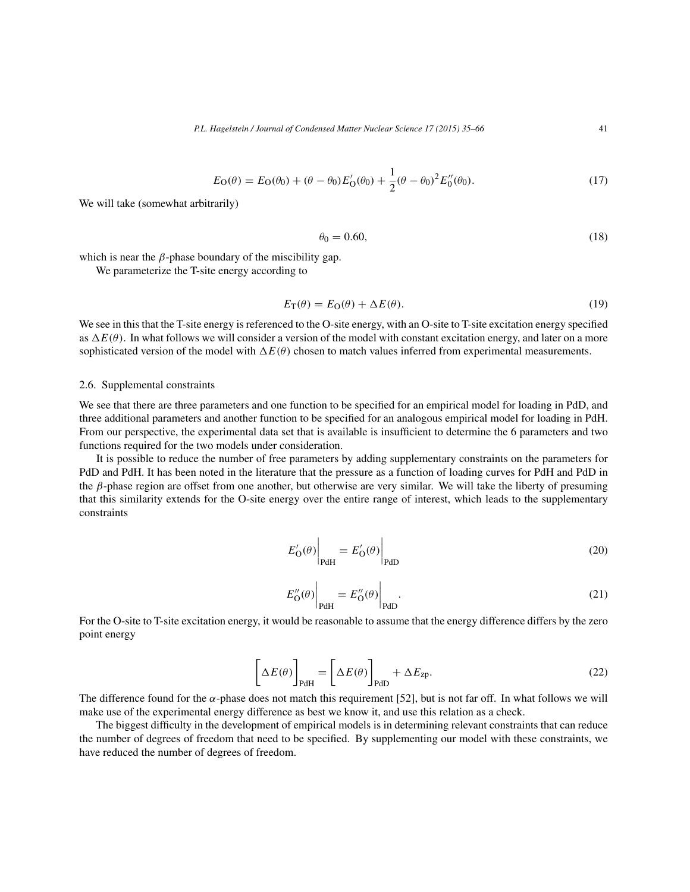$$
E_O(\theta) = E_O(\theta_0) + (\theta - \theta_0)E'_O(\theta_0) + \frac{1}{2}(\theta - \theta_0)^2 E''_O(\theta_0).
$$
\n(17)

We will take (somewhat arbitrarily)

$$
\theta_0 = 0.60,\tag{18}
$$

which is near the  $\beta$ -phase boundary of the miscibility gap.

We parameterize the T-site energy according to

$$
E_{\mathcal{T}}(\theta) = E_{\mathcal{O}}(\theta) + \Delta E(\theta). \tag{19}
$$

We see in this that the T-site energy is referenced to the O-site energy, with an O-site to T-site excitation energy specified as  $\Delta E(\theta)$ . In what follows we will consider a version of the model with constant excitation energy, and later on a more sophisticated version of the model with  $\Delta E(\theta)$  chosen to match values inferred from experimental measurements.

## 2.6. Supplemental constraints

We see that there are three parameters and one function to be specified for an empirical model for loading in PdD, and three additional parameters and another function to be specified for an analogous empirical model for loading in PdH. From our perspective, the experimental data set that is available is insufficient to determine the 6 parameters and two functions required for the two models under consideration.

It is possible to reduce the number of free parameters by adding supplementary constraints on the parameters for PdD and PdH. It has been noted in the literature that the pressure as a function of loading curves for PdH and PdD in the β-phase region are offset from one another, but otherwise are very similar. We will take the liberty of presuming that this similarity extends for the O-site energy over the entire range of interest, which leads to the supplementary constraints

$$
E'_{\mathbf{O}}(\theta)\Big|_{\text{PdH}} = E'_{\mathbf{O}}(\theta)\Big|_{\text{PdD}} \tag{20}
$$

$$
E''_O(\theta)\Big|_{\text{PdH}} = E''_O(\theta)\Big|_{\text{PdD}}.\tag{21}
$$

For the O-site to T-site excitation energy, it would be reasonable to assume that the energy difference differs by the zero point energy

$$
\[\Delta E(\theta)\]_{\text{PdH}} = \[\Delta E(\theta)\]_{\text{PdD}} + \Delta E_{\text{zp}}.\tag{22}
$$

The difference found for the  $\alpha$ -phase does not match this requirement [52], but is not far off. In what follows we will make use of the experimental energy difference as best we know it, and use this relation as a check.

The biggest difficulty in the development of empirical models is in determining relevant constraints that can reduce the number of degrees of freedom that need to be specified. By supplementing our model with these constraints, we have reduced the number of degrees of freedom.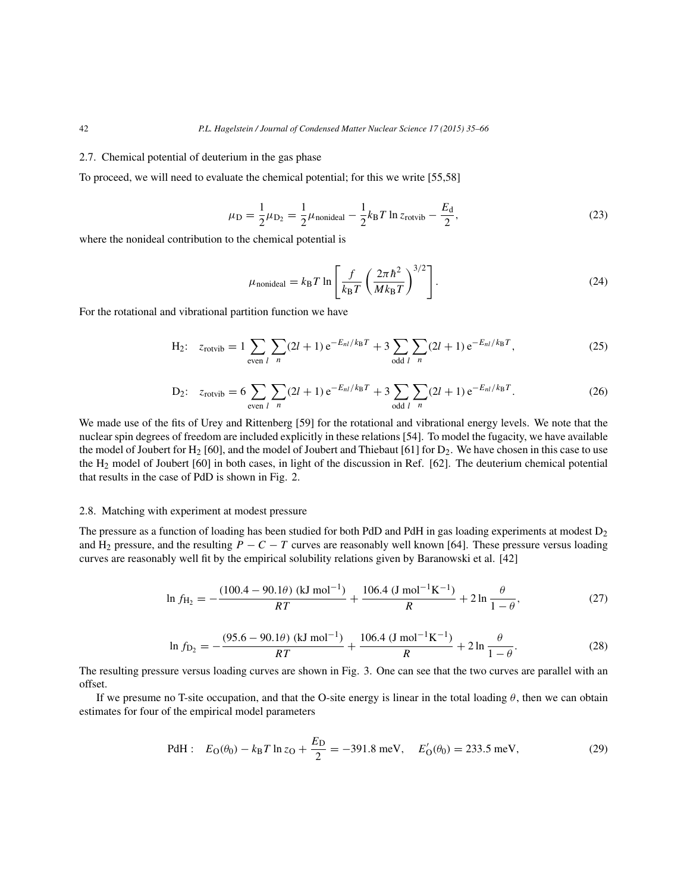#### 2.7. Chemical potential of deuterium in the gas phase

To proceed, we will need to evaluate the chemical potential; for this we write [55,58]

$$
\mu_{\rm D} = \frac{1}{2}\mu_{\rm D_2} = \frac{1}{2}\mu_{\rm nonideal} - \frac{1}{2}k_{\rm B}T\ln z_{\rm rotvib} - \frac{E_{\rm d}}{2},\tag{23}
$$

where the nonideal contribution to the chemical potential is

$$
\mu_{\text{nonideal}} = k_{\text{B}} T \ln \left[ \frac{f}{k_{\text{B}} T} \left( \frac{2\pi \hbar^2}{M k_{\text{B}} T} \right)^{3/2} \right]. \tag{24}
$$

For the rotational and vibrational partition function we have

H<sub>2</sub>: 
$$
z_{\text{rotvib}} = 1 \sum_{\text{even } l} \sum_{n} (2l+1) e^{-E_{nl}/k_B T} + 3 \sum_{\text{odd } l} \sum_{n} (2l+1) e^{-E_{nl}/k_B T},
$$
 (25)

D<sub>2</sub>: 
$$
z_{\text{rotvib}} = 6 \sum_{\text{even } l} \sum_{n} (2l+1) e^{-E_{nl}/k_B T} + 3 \sum_{\text{odd } l} \sum_{n} (2l+1) e^{-E_{nl}/k_B T}.
$$
 (26)

We made use of the fits of Urey and Rittenberg [59] for the rotational and vibrational energy levels. We note that the nuclear spin degrees of freedom are included explicitly in these relations [54]. To model the fugacity, we have available the model of Joubert for H<sub>2</sub> [60], and the model of Joubert and Thiebaut [61] for  $D_2$ . We have chosen in this case to use the H2 model of Joubert [60] in both cases, in light of the discussion in Ref. [62]. The deuterium chemical potential that results in the case of PdD is shown in Fig. 2.

## 2.8. Matching with experiment at modest pressure

The pressure as a function of loading has been studied for both PdD and PdH in gas loading experiments at modest  $D_2$ and H<sub>2</sub> pressure, and the resulting  $P - C - T$  curves are reasonably well known [64]. These pressure versus loading curves are reasonably well fit by the empirical solubility relations given by Baranowski et al. [42]

$$
\ln f_{\text{H}_2} = -\frac{(100.4 - 90.1\theta) \text{ (kJ mol}^{-1})}{RT} + \frac{106.4 \text{ (J mol}^{-1} \text{K}^{-1})}{R} + 2\ln\frac{\theta}{1-\theta},\tag{27}
$$

$$
\ln f_{\text{D}_2} = -\frac{(95.6 - 90.1\theta) \text{ (kJ mol}^{-1})}{RT} + \frac{106.4 \text{ (J mol}^{-1} \text{K}^{-1})}{R} + 2 \ln \frac{\theta}{1 - \theta}.
$$
 (28)

The resulting pressure versus loading curves are shown in Fig. 3. One can see that the two curves are parallel with an offset.

If we presume no T-site occupation, and that the O-site energy is linear in the total loading  $\theta$ , then we can obtain estimates for four of the empirical model parameters

PdH: 
$$
E_O(\theta_0) - k_B T \ln z_O + \frac{E_D}{2} = -391.8 \text{ meV}, \quad E'_O(\theta_0) = 233.5 \text{ meV},
$$
 (29)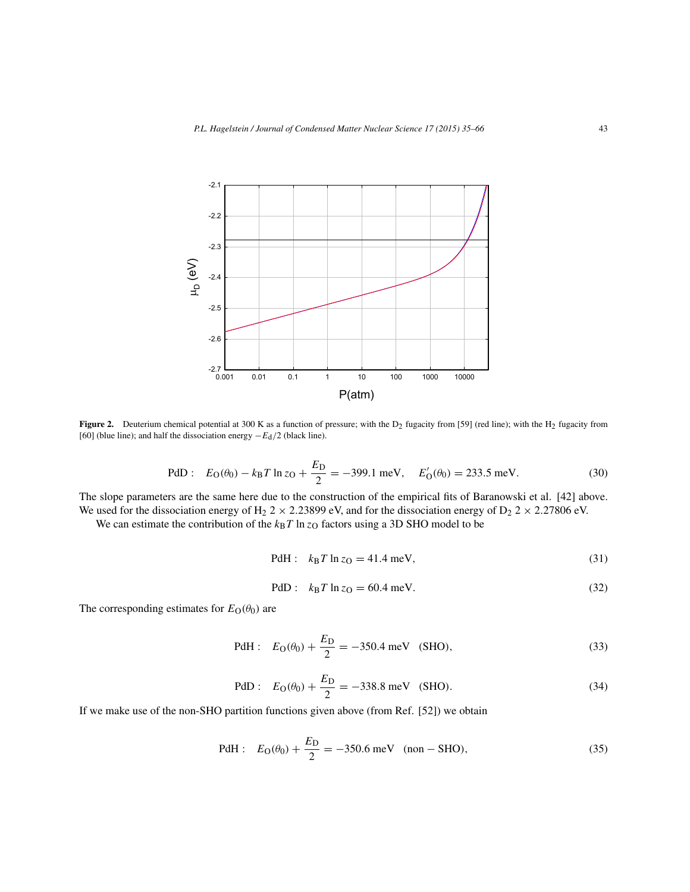

**Figure 2.** Deuterium chemical potential at 300 K as a function of pressure; with the D<sub>2</sub> fugacity from [59] (red line); with the H<sub>2</sub> fugacity from [60] (blue line); and half the dissociation energy  $-E_d/2$  (black line).

PdD: 
$$
E_O(\theta_0) - k_B T \ln z_O + \frac{E_D}{2} = -399.1 \text{ meV}, \quad E'_O(\theta_0) = 233.5 \text{ meV}.
$$
 (30)

The slope parameters are the same here due to the construction of the empirical fits of Baranowski et al. [42] above. We used for the dissociation energy of H<sub>2</sub> 2  $\times$  2.23899 eV, and for the dissociation energy of D<sub>2</sub> 2  $\times$  2.27806 eV.

We can estimate the contribution of the  $k_BT \ln z_O$  factors using a 3D SHO model to be

PdH: 
$$
k_B T \ln z_O = 41.4 \text{ meV},
$$
 (31)

PdD: 
$$
k_B T \ln z_O = 60.4 \text{ meV}.
$$
 (32)

The corresponding estimates for  $E_{\text{O}}(\theta_0)$  are

PdH: 
$$
E_O(\theta_0) + \frac{E_D}{2} = -350.4 \text{ meV}
$$
 (SHO), (33)

PdD: 
$$
E_O(\theta_0) + \frac{E_D}{2} = -338.8 \text{ meV}
$$
 (SHO). (34)

If we make use of the non-SHO partition functions given above (from Ref. [52]) we obtain

PdH: 
$$
E_O(\theta_0) + \frac{E_D}{2} = -350.6 \text{ meV}
$$
 (non - SHO), (35)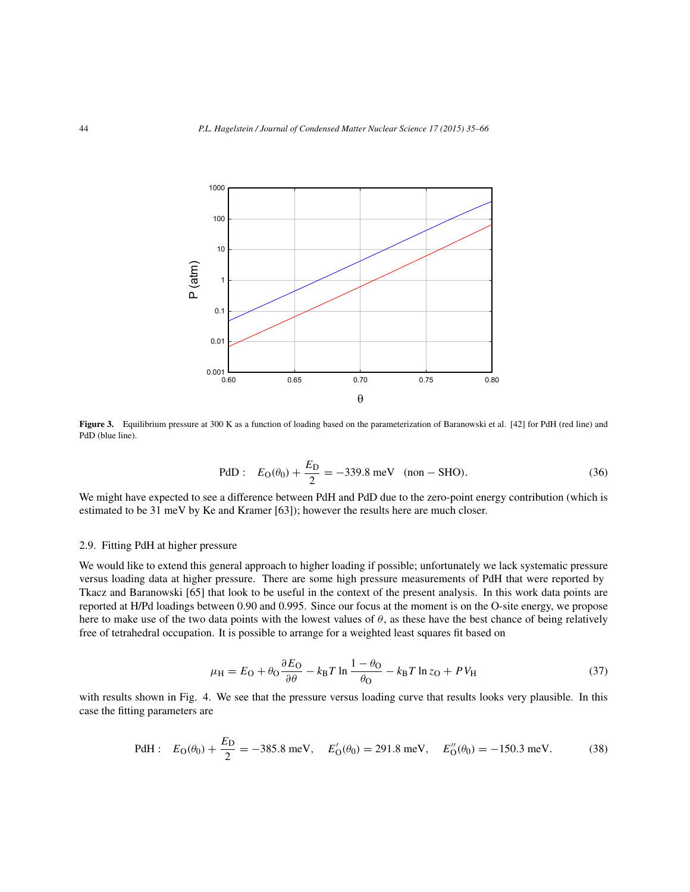

**Figure 3.** Equilibrium pressure at 300 K as a function of loading based on the parameterization of Baranowski et al. [42] for PdH (red line) and PdD (blue line).

PdD: 
$$
E_O(\theta_0) + \frac{E_D}{2} = -339.8 \text{ meV}
$$
 (non - SHO). (36)

We might have expected to see a difference between PdH and PdD due to the zero-point energy contribution (which is estimated to be 31 meV by Ke and Kramer [63]); however the results here are much closer.

# 2.9. Fitting PdH at higher pressure

We would like to extend this general approach to higher loading if possible; unfortunately we lack systematic pressure versus loading data at higher pressure. There are some high pressure measurements of PdH that were reported by Tkacz and Baranowski [65] that look to be useful in the context of the present analysis. In this work data points are reported at H/Pd loadings between 0.90 and 0.995. Since our focus at the moment is on the O-site energy, we propose here to make use of the two data points with the lowest values of  $\theta$ , as these have the best chance of being relatively free of tetrahedral occupation. It is possible to arrange for a weighted least squares fit based on

$$
\mu_{\rm H} = E_{\rm O} + \theta_{\rm O} \frac{\partial E_{\rm O}}{\partial \theta} - k_{\rm B} T \ln \frac{1 - \theta_{\rm O}}{\theta_{\rm O}} - k_{\rm B} T \ln z_{\rm O} + P V_{\rm H}
$$
\n(37)

with results shown in Fig. 4. We see that the pressure versus loading curve that results looks very plausible. In this case the fitting parameters are

PdH: 
$$
E_O(\theta_0) + \frac{E_D}{2} = -385.8 \text{ meV}, \quad E'_O(\theta_0) = 291.8 \text{ meV}, \quad E''_O(\theta_0) = -150.3 \text{ meV}.
$$
 (38)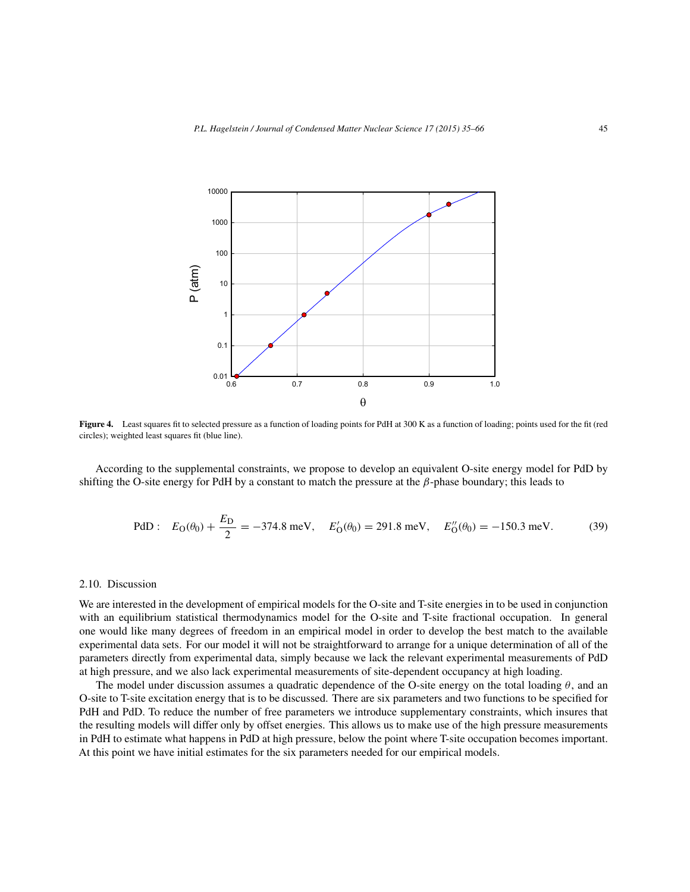

**Figure 4.** Least squares fit to selected pressure as a function of loading points for PdH at 300 K as a function of loading; points used for the fit (red circles); weighted least squares fit (blue line).

According to the supplemental constraints, we propose to develop an equivalent O-site energy model for PdD by shifting the O-site energy for PdH by a constant to match the pressure at the  $\beta$ -phase boundary; this leads to

PdD: 
$$
E_O(\theta_0) + \frac{E_D}{2} = -374.8 \text{ meV}, \quad E'_O(\theta_0) = 291.8 \text{ meV}, \quad E''_O(\theta_0) = -150.3 \text{ meV}.
$$
 (39)

# 2.10. Discussion

We are interested in the development of empirical models for the O-site and T-site energies in to be used in conjunction with an equilibrium statistical thermodynamics model for the O-site and T-site fractional occupation. In general one would like many degrees of freedom in an empirical model in order to develop the best match to the available experimental data sets. For our model it will not be straightforward to arrange for a unique determination of all of the parameters directly from experimental data, simply because we lack the relevant experimental measurements of PdD at high pressure, and we also lack experimental measurements of site-dependent occupancy at high loading.

The model under discussion assumes a quadratic dependence of the O-site energy on the total loading  $\theta$ , and an O-site to T-site excitation energy that is to be discussed. There are six parameters and two functions to be specified for PdH and PdD. To reduce the number of free parameters we introduce supplementary constraints, which insures that the resulting models will differ only by offset energies. This allows us to make use of the high pressure measurements in PdH to estimate what happens in PdD at high pressure, below the point where T-site occupation becomes important. At this point we have initial estimates for the six parameters needed for our empirical models.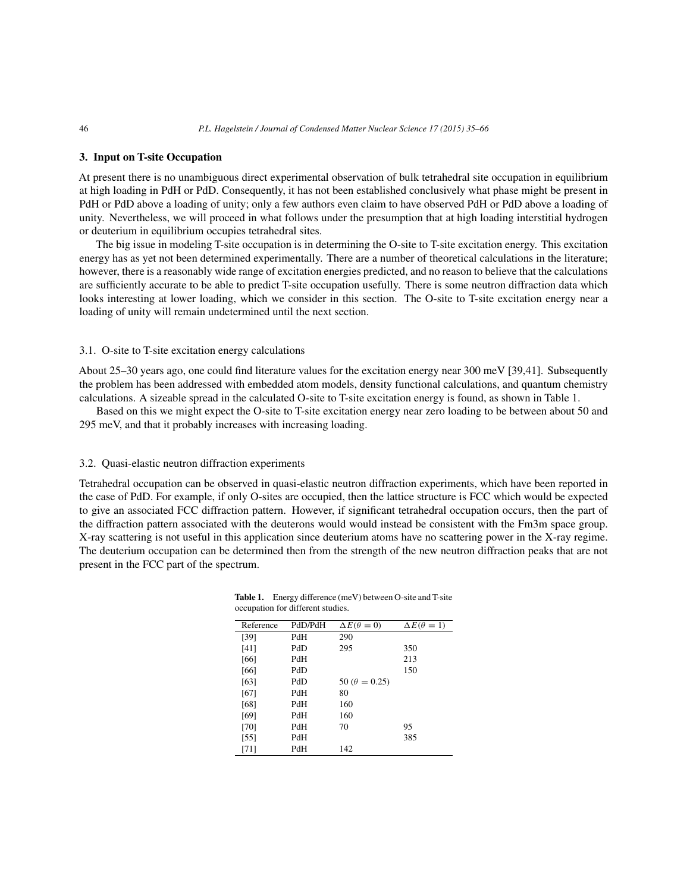#### **3. Input on T-site Occupation**

At present there is no unambiguous direct experimental observation of bulk tetrahedral site occupation in equilibrium at high loading in PdH or PdD. Consequently, it has not been established conclusively what phase might be present in PdH or PdD above a loading of unity; only a few authors even claim to have observed PdH or PdD above a loading of unity. Nevertheless, we will proceed in what follows under the presumption that at high loading interstitial hydrogen or deuterium in equilibrium occupies tetrahedral sites.

The big issue in modeling T-site occupation is in determining the O-site to T-site excitation energy. This excitation energy has as yet not been determined experimentally. There are a number of theoretical calculations in the literature; however, there is a reasonably wide range of excitation energies predicted, and no reason to believe that the calculations are sufficiently accurate to be able to predict T-site occupation usefully. There is some neutron diffraction data which looks interesting at lower loading, which we consider in this section. The O-site to T-site excitation energy near a loading of unity will remain undetermined until the next section.

#### 3.1. O-site to T-site excitation energy calculations

About 25–30 years ago, one could find literature values for the excitation energy near 300 meV [39,41]. Subsequently the problem has been addressed with embedded atom models, density functional calculations, and quantum chemistry calculations. A sizeable spread in the calculated O-site to T-site excitation energy is found, as shown in Table 1.

Based on this we might expect the O-site to T-site excitation energy near zero loading to be between about 50 and 295 meV, and that it probably increases with increasing loading.

#### 3.2. Quasi-elastic neutron diffraction experiments

Tetrahedral occupation can be observed in quasi-elastic neutron diffraction experiments, which have been reported in the case of PdD. For example, if only O-sites are occupied, then the lattice structure is FCC which would be expected to give an associated FCC diffraction pattern. However, if significant tetrahedral occupation occurs, then the part of the diffraction pattern associated with the deuterons would would instead be consistent with the Fm3m space group. X-ray scattering is not useful in this application since deuterium atoms have no scattering power in the X-ray regime. The deuterium occupation can be determined then from the strength of the new neutron diffraction peaks that are not present in the FCC part of the spectrum.

| Reference | PdD/PdH | $\Delta E(\theta=0)$   | $\Delta E(\theta = 1)$ |
|-----------|---------|------------------------|------------------------|
| [39]      | PdH     | 290                    |                        |
| [41]      | PdD     | 295                    | 350                    |
| [66]      | PdH     |                        | 213                    |
| [66]      | PdD     |                        | 150                    |
| [63]      | PdD     | 50 ( $\theta = 0.25$ ) |                        |
| [67]      | PdH     | 80                     |                        |
| [68]      | PdH     | 160                    |                        |
| [69]      | PdH     | 160                    |                        |
| $[70]$    | PdH     | 70                     | 95                     |
| $[55]$    | PdH     |                        | 385                    |
| [71]      | PdH     | 142                    |                        |

**Table 1.** Energy difference (meV) between O-site and T-site occupation for different studies.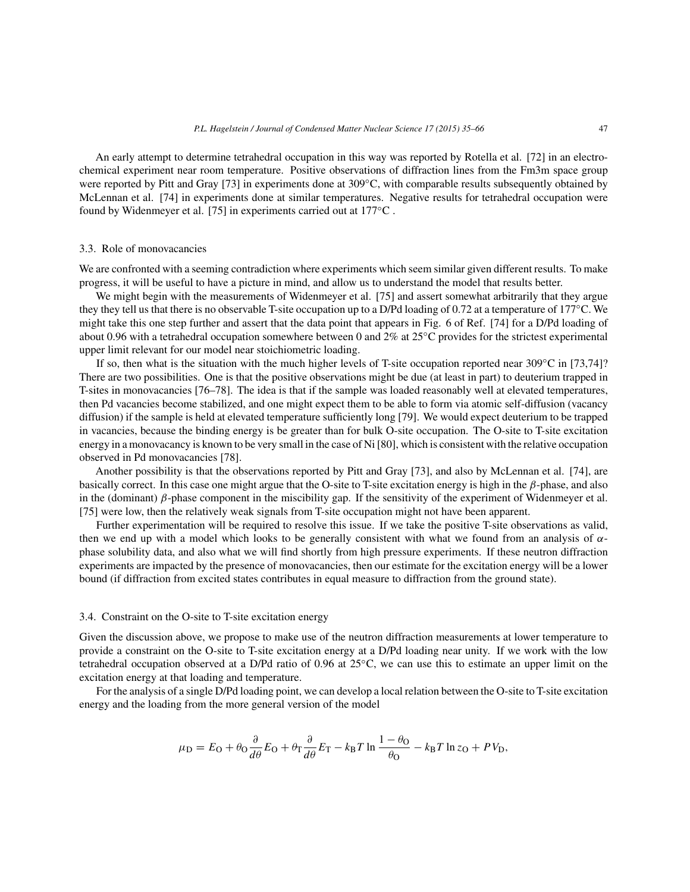An early attempt to determine tetrahedral occupation in this way was reported by Rotella et al. [72] in an electrochemical experiment near room temperature. Positive observations of diffraction lines from the Fm3m space group were reported by Pitt and Gray [73] in experiments done at 309◦C, with comparable results subsequently obtained by McLennan et al. [74] in experiments done at similar temperatures. Negative results for tetrahedral occupation were found by Widenmeyer et al. [75] in experiments carried out at 177°C.

# 3.3. Role of monovacancies

We are confronted with a seeming contradiction where experiments which seem similar given different results. To make progress, it will be useful to have a picture in mind, and allow us to understand the model that results better.

We might begin with the measurements of Widenmeyer et al. [75] and assert somewhat arbitrarily that they argue they they tell us that there is no observable T-site occupation up to a D/Pd loading of 0.72 at a temperature of 177◦C. We might take this one step further and assert that the data point that appears in Fig. 6 of Ref. [74] for a D/Pd loading of about 0.96 with a tetrahedral occupation somewhere between 0 and 2% at 25◦C provides for the strictest experimental upper limit relevant for our model near stoichiometric loading.

If so, then what is the situation with the much higher levels of T-site occupation reported near  $309^{\circ}$ C in [73,74]? There are two possibilities. One is that the positive observations might be due (at least in part) to deuterium trapped in T-sites in monovacancies [76–78]. The idea is that if the sample was loaded reasonably well at elevated temperatures, then Pd vacancies become stabilized, and one might expect them to be able to form via atomic self-diffusion (vacancy diffusion) if the sample is held at elevated temperature sufficiently long [79]. We would expect deuterium to be trapped in vacancies, because the binding energy is be greater than for bulk O-site occupation. The O-site to T-site excitation energy in a monovacancy is known to be very small in the case of Ni [80], which is consistent with the relative occupation observed in Pd monovacancies [78].

Another possibility is that the observations reported by Pitt and Gray [73], and also by McLennan et al. [74], are basically correct. In this case one might argue that the O-site to T-site excitation energy is high in the  $\beta$ -phase, and also in the (dominant)  $\beta$ -phase component in the miscibility gap. If the sensitivity of the experiment of Widenmeyer et al. [75] were low, then the relatively weak signals from T-site occupation might not have been apparent.

Further experimentation will be required to resolve this issue. If we take the positive T-site observations as valid, then we end up with a model which looks to be generally consistent with what we found from an analysis of  $\alpha$ phase solubility data, and also what we will find shortly from high pressure experiments. If these neutron diffraction experiments are impacted by the presence of monovacancies, then our estimate for the excitation energy will be a lower bound (if diffraction from excited states contributes in equal measure to diffraction from the ground state).

#### 3.4. Constraint on the O-site to T-site excitation energy

Given the discussion above, we propose to make use of the neutron diffraction measurements at lower temperature to provide a constraint on the O-site to T-site excitation energy at a D/Pd loading near unity. If we work with the low tetrahedral occupation observed at a D/Pd ratio of 0.96 at 25◦C, we can use this to estimate an upper limit on the excitation energy at that loading and temperature.

For the analysis of a single D/Pd loading point, we can develop a local relation between the O-site to T-site excitation energy and the loading from the more general version of the model

$$
\mu_{\rm D} = E_{\rm O} + \theta_{\rm O} \frac{\partial}{\partial \theta} E_{\rm O} + \theta_{\rm T} \frac{\partial}{\partial \theta} E_{\rm T} - k_{\rm B} T \ln \frac{1 - \theta_{\rm O}}{\theta_{\rm O}} - k_{\rm B} T \ln z_{\rm O} + P V_{\rm D},
$$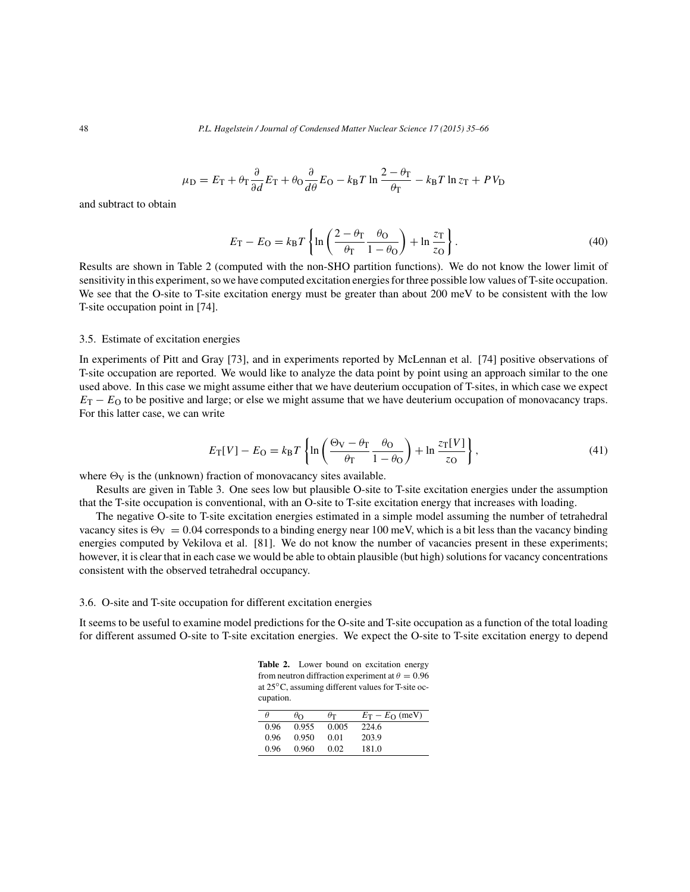48 *P.L. Hagelstein / Journal of Condensed Matter Nuclear Science 17 (2015) 35–66*

$$
\mu_{\rm D} = E_{\rm T} + \theta_{\rm T} \frac{\partial}{\partial d} E_{\rm T} + \theta_{\rm O} \frac{\partial}{\partial d} E_{\rm O} - k_{\rm B} T \ln \frac{2 - \theta_{\rm T}}{\theta_{\rm T}} - k_{\rm B} T \ln z_{\rm T} + P V_{\rm D}
$$

and subtract to obtain

$$
E_{\rm T} - E_{\rm O} = k_{\rm B} T \left\{ \ln \left( \frac{2 - \theta_{\rm T}}{\theta_{\rm T}} \frac{\theta_{\rm O}}{1 - \theta_{\rm O}} \right) + \ln \frac{z_{\rm T}}{z_{\rm O}} \right\}.
$$
 (40)

Results are shown in Table 2 (computed with the non-SHO partition functions). We do not know the lower limit of sensitivity in this experiment, so we have computed excitation energies for three possible low values of T-site occupation. We see that the O-site to T-site excitation energy must be greater than about 200 meV to be consistent with the low T-site occupation point in [74].

# 3.5. Estimate of excitation energies

In experiments of Pitt and Gray [73], and in experiments reported by McLennan et al. [74] positive observations of T-site occupation are reported. We would like to analyze the data point by point using an approach similar to the one used above. In this case we might assume either that we have deuterium occupation of T-sites, in which case we expect  $E_T - E_O$  to be positive and large; or else we might assume that we have deuterium occupation of monovacancy traps. For this latter case, we can write

$$
E_{\rm T}[V] - E_{\rm O} = k_{\rm B}T \left\{ \ln \left( \frac{\Theta_{\rm V} - \theta_{\rm T}}{\theta_{\rm T}} \frac{\theta_{\rm O}}{1 - \theta_{\rm O}} \right) + \ln \frac{z_{\rm T}[V]}{z_{\rm O}} \right\},\tag{41}
$$

where  $\Theta_V$  is the (unknown) fraction of monovacancy sites available.

Results are given in Table 3. One sees low but plausible O-site to T-site excitation energies under the assumption that the T-site occupation is conventional, with an O-site to T-site excitation energy that increases with loading.

The negative O-site to T-site excitation energies estimated in a simple model assuming the number of tetrahedral vacancy sites is  $\Theta_V = 0.04$  corresponds to a binding energy near 100 meV, which is a bit less than the vacancy binding energies computed by Vekilova et al. [81]. We do not know the number of vacancies present in these experiments; however, it is clear that in each case we would be able to obtain plausible (but high) solutions for vacancy concentrations consistent with the observed tetrahedral occupancy.

# 3.6. O-site and T-site occupation for different excitation energies

It seems to be useful to examine model predictions for the O-site and T-site occupation as a function of the total loading for different assumed O-site to T-site excitation energies. We expect the O-site to T-site excitation energy to depend

Table 2. Lower bound on excitation energy from neutron diffraction experiment at  $\theta = 0.96$ at 25◦C, assuming different values for T-site occupation.

| $\theta$ | $\theta$ <sub>O</sub> | $\theta$ T | $E_T - E_O$ (meV) |
|----------|-----------------------|------------|-------------------|
| 0.96     | 0.955                 | 0.005      | 224.6             |
| 0.96     | 0.950                 | 0.01       | 203.9             |
| 0.96     | 0.960                 | 0.02       | 181.0             |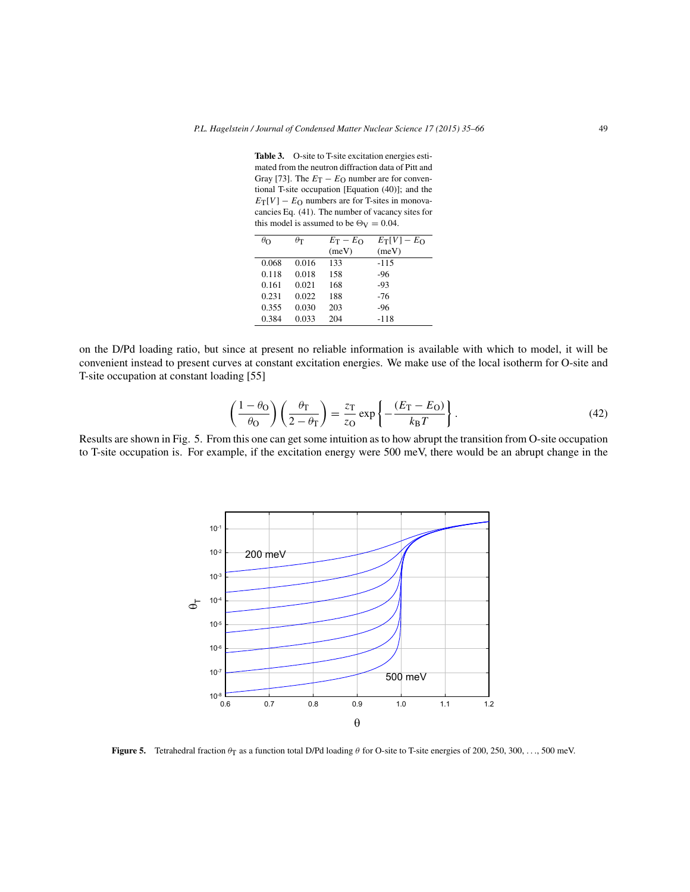**Table 3.** O-site to T-site excitation energies estimated from the neutron diffraction data of Pitt and Gray [73]. The  $E_T - E_O$  number are for conventional T-site occupation [Equation (40)]; and the  $E_T[V] - E_O$  numbers are for T-sites in monovacancies Eq. (41). The number of vacancy sites for this model is assumed to be  $\Theta_V = 0.04$ .

| $\theta$ o | $\theta$ т | $E_T - E_O$ | $E_T[V] - E_O$ |
|------------|------------|-------------|----------------|
|            |            | (meV)       | (meV)          |
| 0.068      | 0.016      | 133         | $-115$         |
| 0.118      | 0.018      | 158         | $-96$          |
| 0.161      | 0.021      | 168         | $-93$          |
| 0.231      | 0.022      | 188         | -76            |
| 0.355      | 0.030      | 203         | $-96$          |
| 0.384      | 0.033      | 204         | $-118$         |
|            |            |             |                |

on the D/Pd loading ratio, but since at present no reliable information is available with which to model, it will be convenient instead to present curves at constant excitation energies. We make use of the local isotherm for O-site and T-site occupation at constant loading [55]

$$
\left(\frac{1-\theta_{\rm O}}{\theta_{\rm O}}\right)\left(\frac{\theta_{\rm T}}{2-\theta_{\rm T}}\right) = \frac{z_{\rm T}}{z_{\rm O}}\exp\left\{-\frac{(E_{\rm T}-E_{\rm O})}{k_{\rm B}T}\right\}.
$$
\n(42)

Results are shown in Fig. 5. From this one can get some intuition as to how abrupt the transition from O-site occupation to T-site occupation is. For example, if the excitation energy were 500 meV, there would be an abrupt change in the



**Figure 5.** Tetrahedral fraction  $\theta_T$  as a function total D/Pd loading  $\theta$  for O-site to T-site energies of 200, 250, 300, ..., 500 meV.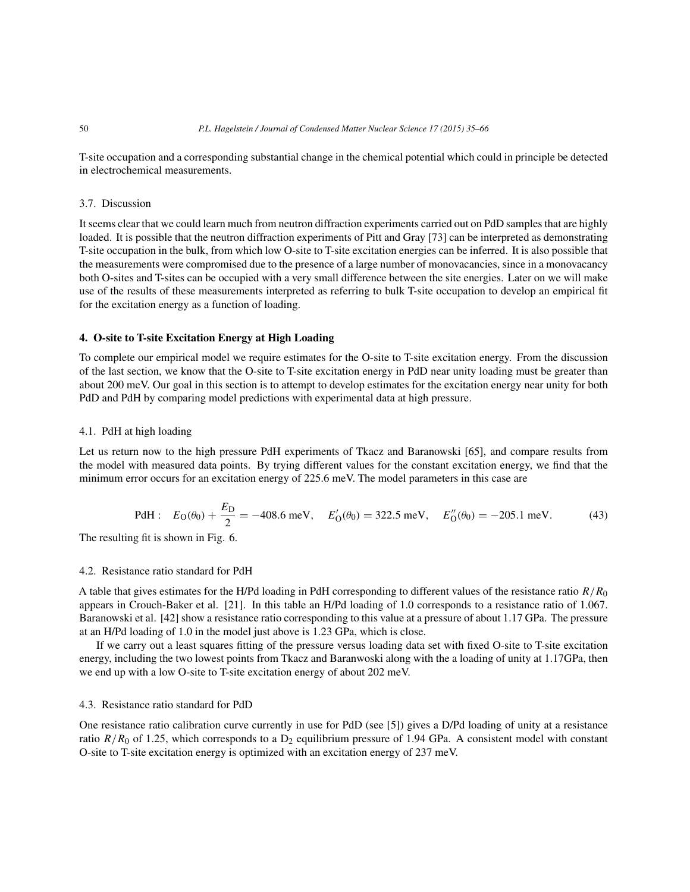T-site occupation and a corresponding substantial change in the chemical potential which could in principle be detected in electrochemical measurements.

# 3.7. Discussion

It seems clear that we could learn much from neutron diffraction experiments carried out on PdD samples that are highly loaded. It is possible that the neutron diffraction experiments of Pitt and Gray [73] can be interpreted as demonstrating T-site occupation in the bulk, from which low O-site to T-site excitation energies can be inferred. It is also possible that the measurements were compromised due to the presence of a large number of monovacancies, since in a monovacancy both O-sites and T-sites can be occupied with a very small difference between the site energies. Later on we will make use of the results of these measurements interpreted as referring to bulk T-site occupation to develop an empirical fit for the excitation energy as a function of loading.

# **4. O-site to T-site Excitation Energy at High Loading**

To complete our empirical model we require estimates for the O-site to T-site excitation energy. From the discussion of the last section, we know that the O-site to T-site excitation energy in PdD near unity loading must be greater than about 200 meV. Our goal in this section is to attempt to develop estimates for the excitation energy near unity for both PdD and PdH by comparing model predictions with experimental data at high pressure.

# 4.1. PdH at high loading

Let us return now to the high pressure PdH experiments of Tkacz and Baranowski [65], and compare results from the model with measured data points. By trying different values for the constant excitation energy, we find that the minimum error occurs for an excitation energy of 225.6 meV. The model parameters in this case are

PdH: 
$$
E_O(\theta_0) + \frac{E_D}{2} = -408.6 \text{ meV}, \quad E'_O(\theta_0) = 322.5 \text{ meV}, \quad E''_O(\theta_0) = -205.1 \text{ meV}.
$$
 (43)

The resulting fit is shown in Fig. 6.

# 4.2. Resistance ratio standard for PdH

A table that gives estimates for the H/Pd loading in PdH corresponding to different values of the resistance ratio  $R/R_0$ appears in Crouch-Baker et al. [21]. In this table an H/Pd loading of 1.0 corresponds to a resistance ratio of 1.067. Baranowski et al. [42] show a resistance ratio corresponding to this value at a pressure of about 1.17 GPa. The pressure at an H/Pd loading of 1.0 in the model just above is 1.23 GPa, which is close.

If we carry out a least squares fitting of the pressure versus loading data set with fixed O-site to T-site excitation energy, including the two lowest points from Tkacz and Baranwoski along with the a loading of unity at 1.17GPa, then we end up with a low O-site to T-site excitation energy of about 202 meV.

# 4.3. Resistance ratio standard for PdD

One resistance ratio calibration curve currently in use for PdD (see [5]) gives a D/Pd loading of unity at a resistance ratio  $R/R_0$  of 1.25, which corresponds to a D<sub>2</sub> equilibrium pressure of 1.94 GPa. A consistent model with constant O-site to T-site excitation energy is optimized with an excitation energy of 237 meV.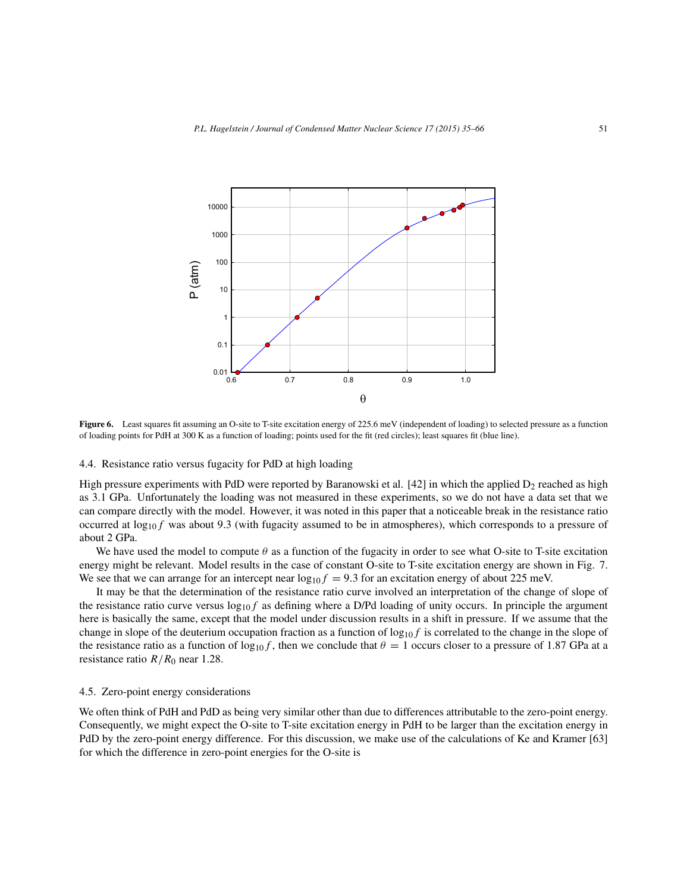

Figure 6. Least squares fit assuming an O-site to T-site excitation energy of 225.6 meV (independent of loading) to selected pressure as a function of loading points for PdH at 300 K as a function of loading; points used for the fit (red circles); least squares fit (blue line).

# 4.4. Resistance ratio versus fugacity for PdD at high loading

High pressure experiments with PdD were reported by Baranowski et al. [42] in which the applied  $D_2$  reached as high as 3.1 GPa. Unfortunately the loading was not measured in these experiments, so we do not have a data set that we can compare directly with the model. However, it was noted in this paper that a noticeable break in the resistance ratio occurred at  $\log_{10} f$  was about 9.3 (with fugacity assumed to be in atmospheres), which corresponds to a pressure of about 2 GPa.

We have used the model to compute  $\theta$  as a function of the fugacity in order to see what O-site to T-site excitation energy might be relevant. Model results in the case of constant O-site to T-site excitation energy are shown in Fig. 7. We see that we can arrange for an intercept near  $log_{10}f = 9.3$  for an excitation energy of about 225 meV.

It may be that the determination of the resistance ratio curve involved an interpretation of the change of slope of the resistance ratio curve versus  $\log_{10} f$  as defining where a D/Pd loading of unity occurs. In principle the argument here is basically the same, except that the model under discussion results in a shift in pressure. If we assume that the change in slope of the deuterium occupation fraction as a function of  $\log_{10} f$  is correlated to the change in the slope of the resistance ratio as a function of  $\log_{10} f$ , then we conclude that  $\theta = 1$  occurs closer to a pressure of 1.87 GPa at a resistance ratio  $R/R<sub>0</sub>$  near 1.28.

#### 4.5. Zero-point energy considerations

We often think of PdH and PdD as being very similar other than due to differences attributable to the zero-point energy. Consequently, we might expect the O-site to T-site excitation energy in PdH to be larger than the excitation energy in PdD by the zero-point energy difference. For this discussion, we make use of the calculations of Ke and Kramer [63] for which the difference in zero-point energies for the O-site is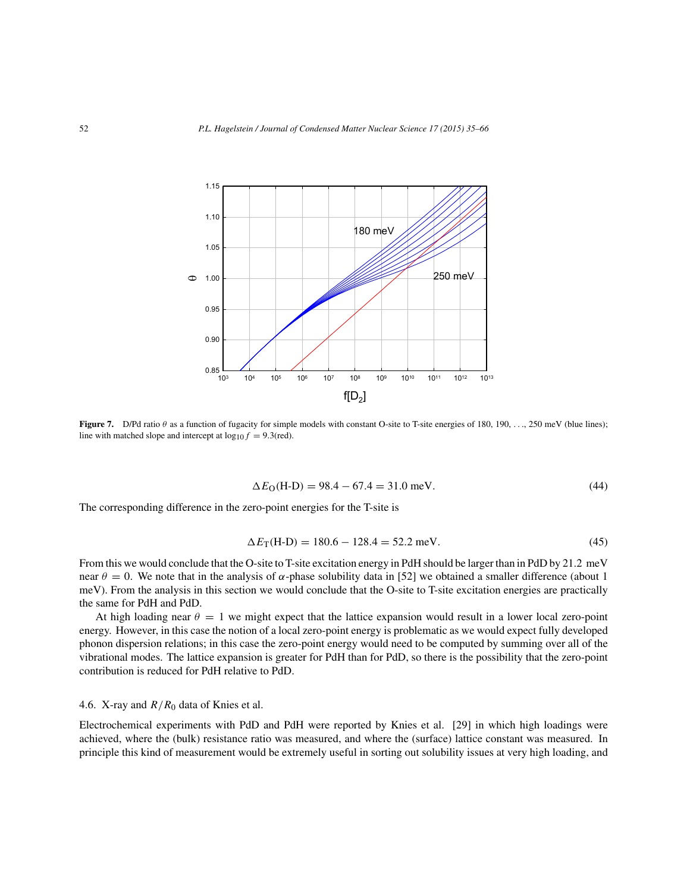

**Figure 7.** D/Pd ratio θ as a function of fugacity for simple models with constant O-site to T-site energies of 180, 190, ..., 250 meV (blue lines); line with matched slope and intercept at  $\log_{10} f = 9.3$ (red).

$$
\Delta E_{\rm O}(\text{H-D}) = 98.4 - 67.4 = 31.0 \text{ meV}.
$$
\n(44)

The corresponding difference in the zero-point energies for the T-site is

$$
\Delta E_{\rm T}(\text{H-D}) = 180.6 - 128.4 = 52.2 \text{ meV}.
$$
\n(45)

From this we would conclude that the O-site to T-site excitation energy in PdH should be larger than in PdD by 21.2 meV near  $\theta = 0$ . We note that in the analysis of  $\alpha$ -phase solubility data in [52] we obtained a smaller difference (about 1 meV). From the analysis in this section we would conclude that the O-site to T-site excitation energies are practically the same for PdH and PdD.

At high loading near  $\theta = 1$  we might expect that the lattice expansion would result in a lower local zero-point energy. However, in this case the notion of a local zero-point energy is problematic as we would expect fully developed phonon dispersion relations; in this case the zero-point energy would need to be computed by summing over all of the vibrational modes. The lattice expansion is greater for PdH than for PdD, so there is the possibility that the zero-point contribution is reduced for PdH relative to PdD.

# 4.6. X-ray and  $R/R_0$  data of Knies et al.

Electrochemical experiments with PdD and PdH were reported by Knies et al. [29] in which high loadings were achieved, where the (bulk) resistance ratio was measured, and where the (surface) lattice constant was measured. In principle this kind of measurement would be extremely useful in sorting out solubility issues at very high loading, and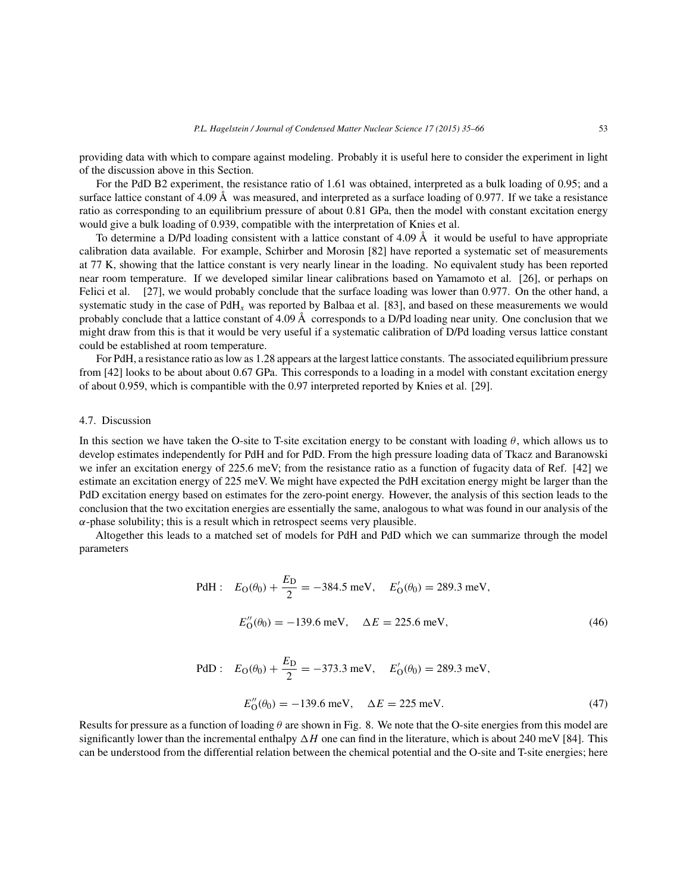providing data with which to compare against modeling. Probably it is useful here to consider the experiment in light of the discussion above in this Section.

For the PdD B2 experiment, the resistance ratio of 1.61 was obtained, interpreted as a bulk loading of 0.95; and a surface lattice constant of 4.09 Å was measured, and interpreted as a surface loading of 0.977. If we take a resistance ratio as corresponding to an equilibrium pressure of about 0.81 GPa, then the model with constant excitation energy would give a bulk loading of 0.939, compatible with the interpretation of Knies et al.

To determine a D/Pd loading consistent with a lattice constant of 4.09  $\AA$  it would be useful to have appropriate calibration data available. For example, Schirber and Morosin [82] have reported a systematic set of measurements at 77 K, showing that the lattice constant is very nearly linear in the loading. No equivalent study has been reported near room temperature. If we developed similar linear calibrations based on Yamamoto et al. [26], or perhaps on Felici et al. [27], we would probably conclude that the surface loading was lower than 0.977. On the other hand, a systematic study in the case of  $PdH<sub>x</sub>$  was reported by Balbaa et al. [83], and based on these measurements we would probably conclude that a lattice constant of 4.09 Å corresponds to a D/Pd loading near unity. One conclusion that we might draw from this is that it would be very useful if a systematic calibration of D/Pd loading versus lattice constant could be established at room temperature.

For PdH, a resistance ratio as low as 1.28 appears at the largest lattice constants. The associated equilibrium pressure from [42] looks to be about about 0.67 GPa. This corresponds to a loading in a model with constant excitation energy of about 0.959, which is compantible with the 0.97 interpreted reported by Knies et al. [29].

# 4.7. Discussion

In this section we have taken the O-site to T-site excitation energy to be constant with loading  $\theta$ , which allows us to develop estimates independently for PdH and for PdD. From the high pressure loading data of Tkacz and Baranowski we infer an excitation energy of 225.6 meV; from the resistance ratio as a function of fugacity data of Ref. [42] we estimate an excitation energy of 225 meV. We might have expected the PdH excitation energy might be larger than the PdD excitation energy based on estimates for the zero-point energy. However, the analysis of this section leads to the conclusion that the two excitation energies are essentially the same, analogous to what was found in our analysis of the  $\alpha$ -phase solubility; this is a result which in retrospect seems very plausible.

Altogether this leads to a matched set of models for PdH and PdD which we can summarize through the model parameters

PdH: 
$$
E_O(\theta_0) + \frac{E_D}{2} = -384.5 \text{ meV}, \quad E'_O(\theta_0) = 289.3 \text{ meV},
$$
  
 $E''_O(\theta_0) = -139.6 \text{ meV}, \quad \Delta E = 225.6 \text{ meV},$  (46)

PdD: 
$$
E_O(\theta_0) + \frac{E_D}{2} = -373.3 \text{ meV}, \quad E'_O(\theta_0) = 289.3 \text{ meV},
$$
  
 $E''_O(\theta_0) = -139.6 \text{ meV}, \quad \Delta E = 225 \text{ meV}.$  (47)

Results for pressure as a function of loading  $\theta$  are shown in Fig. 8. We note that the O-site energies from this model are significantly lower than the incremental enthalpy  $\Delta H$  one can find in the literature, which is about 240 meV [84]. This can be understood from the differential relation between the chemical potential and the O-site and T-site energies; here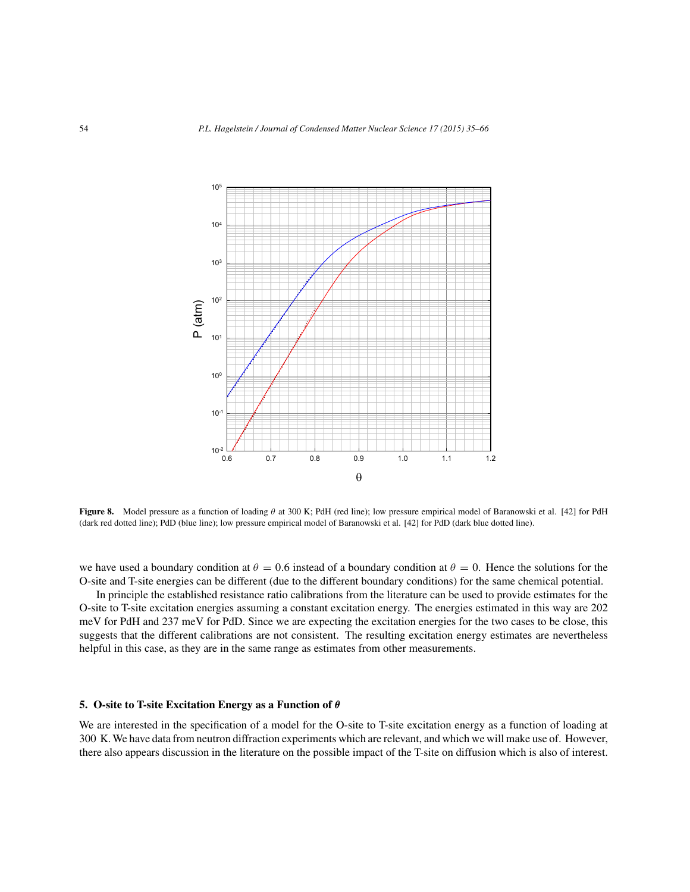

**Figure 8.** Model pressure as a function of loading θ at 300 K; PdH (red line); low pressure empirical model of Baranowski et al. [42] for PdH (dark red dotted line); PdD (blue line); low pressure empirical model of Baranowski et al. [42] for PdD (dark blue dotted line).

we have used a boundary condition at  $\theta = 0.6$  instead of a boundary condition at  $\theta = 0$ . Hence the solutions for the O-site and T-site energies can be different (due to the different boundary conditions) for the same chemical potential.

In principle the established resistance ratio calibrations from the literature can be used to provide estimates for the O-site to T-site excitation energies assuming a constant excitation energy. The energies estimated in this way are 202 meV for PdH and 237 meV for PdD. Since we are expecting the excitation energies for the two cases to be close, this suggests that the different calibrations are not consistent. The resulting excitation energy estimates are nevertheless helpful in this case, as they are in the same range as estimates from other measurements.

# **5. O-site to T-site Excitation Energy as a Function of** θ

We are interested in the specification of a model for the O-site to T-site excitation energy as a function of loading at 300 K.We have data from neutron diffraction experiments which are relevant, and which we will make use of. However, there also appears discussion in the literature on the possible impact of the T-site on diffusion which is also of interest.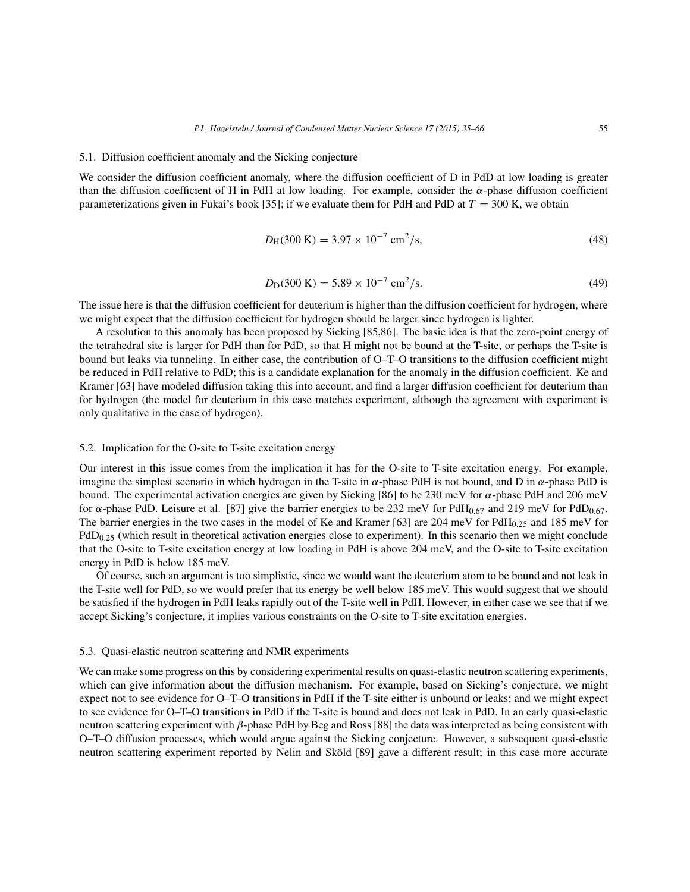## 5.1. Diffusion coefficient anomaly and the Sicking conjecture

We consider the diffusion coefficient anomaly, where the diffusion coefficient of D in PdD at low loading is greater than the diffusion coefficient of H in PdH at low loading. For example, consider the α-phase diffusion coefficient parameterizations given in Fukai's book [35]; if we evaluate them for PdH and PdD at  $T = 300$  K, we obtain

$$
D_{\rm H}(300\,\mathrm{K}) = 3.97 \times 10^{-7} \,\mathrm{cm}^2/\mathrm{s},\tag{48}
$$

$$
D_{\rm D}(300 \text{ K}) = 5.89 \times 10^{-7} \text{ cm}^2/\text{s}.\tag{49}
$$

The issue here is that the diffusion coefficient for deuterium is higher than the diffusion coefficient for hydrogen, where we might expect that the diffusion coefficient for hydrogen should be larger since hydrogen is lighter.

A resolution to this anomaly has been proposed by Sicking [85,86]. The basic idea is that the zero-point energy of the tetrahedral site is larger for PdH than for PdD, so that H might not be bound at the T-site, or perhaps the T-site is bound but leaks via tunneling. In either case, the contribution of O–T–O transitions to the diffusion coefficient might be reduced in PdH relative to PdD; this is a candidate explanation for the anomaly in the diffusion coefficient. Ke and Kramer [63] have modeled diffusion taking this into account, and find a larger diffusion coefficient for deuterium than for hydrogen (the model for deuterium in this case matches experiment, although the agreement with experiment is only qualitative in the case of hydrogen).

# 5.2. Implication for the O-site to T-site excitation energy

Our interest in this issue comes from the implication it has for the O-site to T-site excitation energy. For example, imagine the simplest scenario in which hydrogen in the T-site in  $\alpha$ -phase PdH is not bound, and D in  $\alpha$ -phase PdD is bound. The experimental activation energies are given by Sicking [86] to be 230 meV for α-phase PdH and 206 meV for  $\alpha$ -phase PdD. Leisure et al. [87] give the barrier energies to be 232 meV for PdH<sub>0.67</sub> and 219 meV for PdD<sub>0.67</sub>. The barrier energies in the two cases in the model of Ke and Kramer [63] are 204 meV for PdH $_{0.25}$  and 185 meV for  $PdD<sub>0.25</sub>$  (which result in theoretical activation energies close to experiment). In this scenario then we might conclude that the O-site to T-site excitation energy at low loading in PdH is above 204 meV, and the O-site to T-site excitation energy in PdD is below 185 meV.

Of course, such an argument is too simplistic, since we would want the deuterium atom to be bound and not leak in the T-site well for PdD, so we would prefer that its energy be well below 185 meV. This would suggest that we should be satisfied if the hydrogen in PdH leaks rapidly out of the T-site well in PdH. However, in either case we see that if we accept Sicking's conjecture, it implies various constraints on the O-site to T-site excitation energies.

## 5.3. Quasi-elastic neutron scattering and NMR experiments

We can make some progress on this by considering experimental results on quasi-elastic neutron scattering experiments, which can give information about the diffusion mechanism. For example, based on Sicking's conjecture, we might expect not to see evidence for O–T–O transitions in PdH if the T-site either is unbound or leaks; and we might expect to see evidence for O–T–O transitions in PdD if the T-site is bound and does not leak in PdD. In an early quasi-elastic neutron scattering experiment with β-phase PdH by Beg and Ross [88] the data was interpreted as being consistent with O–T–O diffusion processes, which would argue against the Sicking conjecture. However, a subsequent quasi-elastic neutron scattering experiment reported by Nelin and Sköld [89] gave a different result; in this case more accurate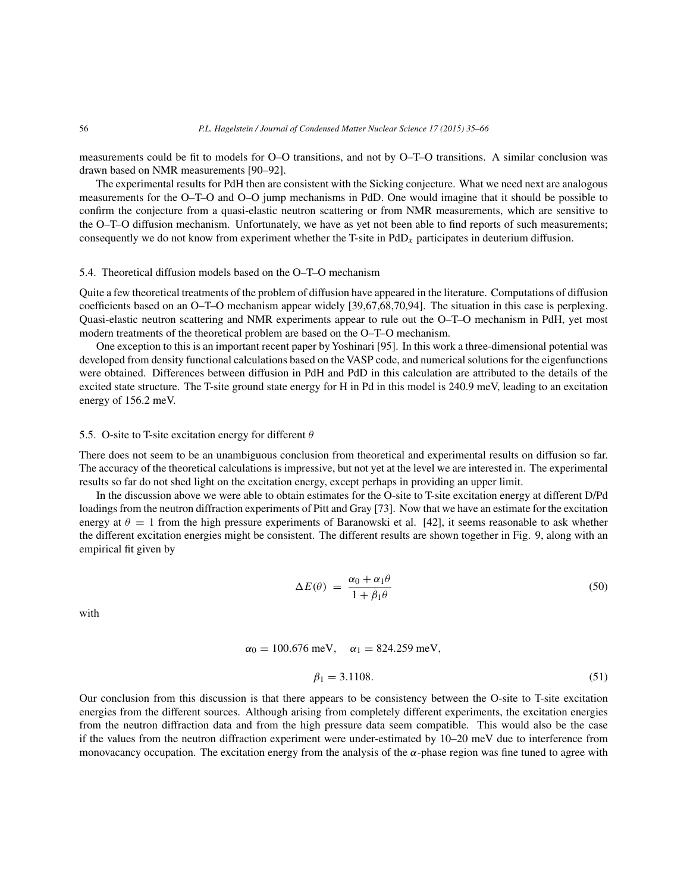measurements could be fit to models for O–O transitions, and not by O–T–O transitions. A similar conclusion was drawn based on NMR measurements [90–92].

The experimental results for PdH then are consistent with the Sicking conjecture. What we need next are analogous measurements for the O–T–O and O–O jump mechanisms in PdD. One would imagine that it should be possible to confirm the conjecture from a quasi-elastic neutron scattering or from NMR measurements, which are sensitive to the O–T–O diffusion mechanism. Unfortunately, we have as yet not been able to find reports of such measurements; consequently we do not know from experiment whether the T-site in  $PdD<sub>x</sub>$  participates in deuterium diffusion.

## 5.4. Theoretical diffusion models based on the O–T–O mechanism

Quite a few theoretical treatments of the problem of diffusion have appeared in the literature. Computations of diffusion coefficients based on an O–T–O mechanism appear widely [39,67,68,70,94]. The situation in this case is perplexing. Quasi-elastic neutron scattering and NMR experiments appear to rule out the O–T–O mechanism in PdH, yet most modern treatments of the theoretical problem are based on the O–T–O mechanism.

One exception to this is an important recent paper by Yoshinari [95]. In this work a three-dimensional potential was developed from density functional calculations based on the VASP code, and numerical solutions for the eigenfunctions were obtained. Differences between diffusion in PdH and PdD in this calculation are attributed to the details of the excited state structure. The T-site ground state energy for H in Pd in this model is 240.9 meV, leading to an excitation energy of 156.2 meV.

## 5.5. O-site to T-site excitation energy for different  $\theta$

There does not seem to be an unambiguous conclusion from theoretical and experimental results on diffusion so far. The accuracy of the theoretical calculations is impressive, but not yet at the level we are interested in. The experimental results so far do not shed light on the excitation energy, except perhaps in providing an upper limit.

In the discussion above we were able to obtain estimates for the O-site to T-site excitation energy at different D/Pd loadings from the neutron diffraction experiments of Pitt and Gray [73]. Now that we have an estimate for the excitation energy at  $\theta = 1$  from the high pressure experiments of Baranowski et al. [42], it seems reasonable to ask whether the different excitation energies might be consistent. The different results are shown together in Fig. 9, along with an empirical fit given by

$$
\Delta E(\theta) = \frac{\alpha_0 + \alpha_1 \theta}{1 + \beta_1 \theta} \tag{50}
$$

with

$$
\alpha_0 = 100.676 \text{ meV}, \quad \alpha_1 = 824.259 \text{ meV},
$$

$$
\beta_1 = 3.1108.\t(51)
$$

Our conclusion from this discussion is that there appears to be consistency between the O-site to T-site excitation energies from the different sources. Although arising from completely different experiments, the excitation energies from the neutron diffraction data and from the high pressure data seem compatible. This would also be the case if the values from the neutron diffraction experiment were under-estimated by 10–20 meV due to interference from monovacancy occupation. The excitation energy from the analysis of the  $\alpha$ -phase region was fine tuned to agree with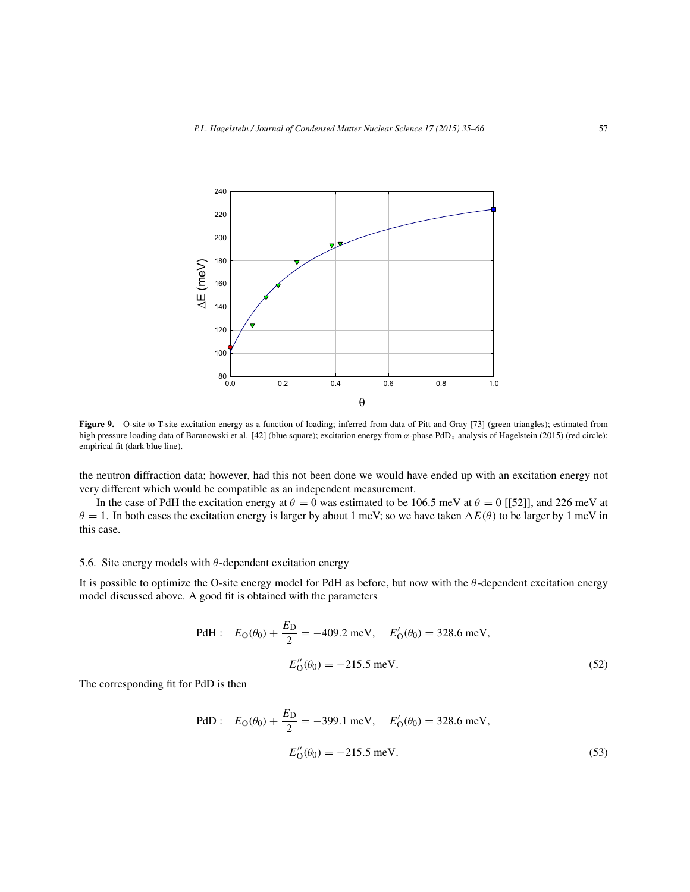

Figure 9. O-site to T-site excitation energy as a function of loading; inferred from data of Pitt and Gray [73] (green triangles); estimated from high pressure loading data of Baranowski et al. [42] (blue square); excitation energy from  $\alpha$ -phase PdD<sub>x</sub> analysis of Hagelstein (2015) (red circle); empirical fit (dark blue line).

the neutron diffraction data; however, had this not been done we would have ended up with an excitation energy not very different which would be compatible as an independent measurement.

In the case of PdH the excitation energy at  $\theta = 0$  was estimated to be 106.5 meV at  $\theta = 0$  [[52]], and 226 meV at  $\theta = 1$ . In both cases the excitation energy is larger by about 1 meV; so we have taken  $\Delta E(\theta)$  to be larger by 1 meV in this case.

# 5.6. Site energy models with  $\theta$ -dependent excitation energy

It is possible to optimize the O-site energy model for PdH as before, but now with the  $\theta$ -dependent excitation energy model discussed above. A good fit is obtained with the parameters

PdH: 
$$
E_O(\theta_0) + \frac{E_D}{2} = -409.2 \text{ meV}, \quad E'_O(\theta_0) = 328.6 \text{ meV},
$$
  
 $E''_O(\theta_0) = -215.5 \text{ meV}.$  (52)

The corresponding fit for PdD is then

PdD: 
$$
E_O(\theta_0) + \frac{E_D}{2} = -399.1 \text{ meV}, \quad E'_O(\theta_0) = 328.6 \text{ meV},
$$
  
 $E''_O(\theta_0) = -215.5 \text{ meV}.$  (53)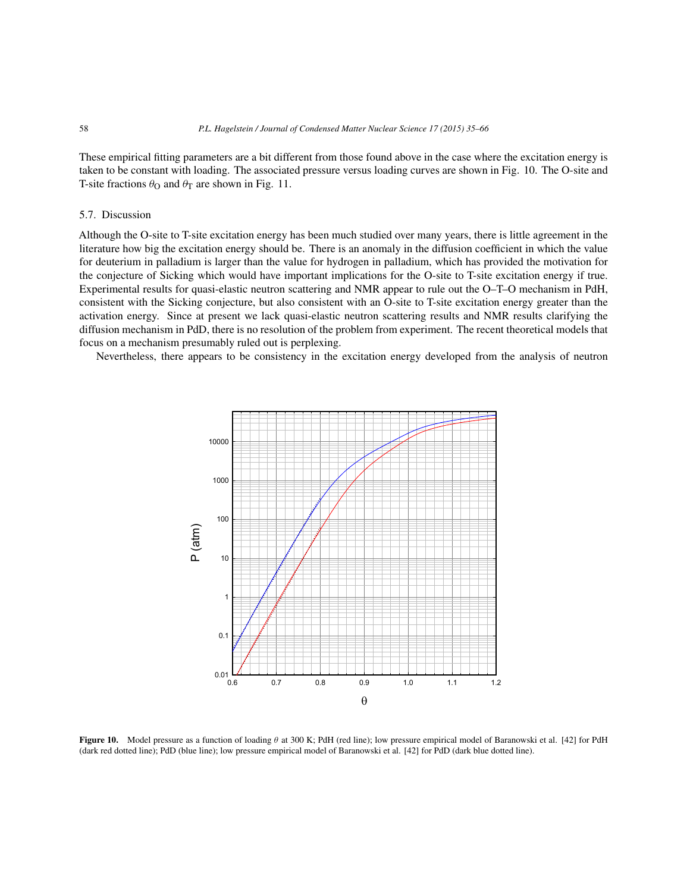These empirical fitting parameters are a bit different from those found above in the case where the excitation energy is taken to be constant with loading. The associated pressure versus loading curves are shown in Fig. 10. The O-site and T-site fractions  $\theta_{\rm O}$  and  $\theta_{\rm T}$  are shown in Fig. 11.

# 5.7. Discussion

Although the O-site to T-site excitation energy has been much studied over many years, there is little agreement in the literature how big the excitation energy should be. There is an anomaly in the diffusion coefficient in which the value for deuterium in palladium is larger than the value for hydrogen in palladium, which has provided the motivation for the conjecture of Sicking which would have important implications for the O-site to T-site excitation energy if true. Experimental results for quasi-elastic neutron scattering and NMR appear to rule out the O–T–O mechanism in PdH, consistent with the Sicking conjecture, but also consistent with an O-site to T-site excitation energy greater than the activation energy. Since at present we lack quasi-elastic neutron scattering results and NMR results clarifying the diffusion mechanism in PdD, there is no resolution of the problem from experiment. The recent theoretical models that focus on a mechanism presumably ruled out is perplexing.

Nevertheless, there appears to be consistency in the excitation energy developed from the analysis of neutron



**Figure 10.** Model pressure as a function of loading θ at 300 K; PdH (red line); low pressure empirical model of Baranowski et al. [42] for PdH (dark red dotted line); PdD (blue line); low pressure empirical model of Baranowski et al. [42] for PdD (dark blue dotted line).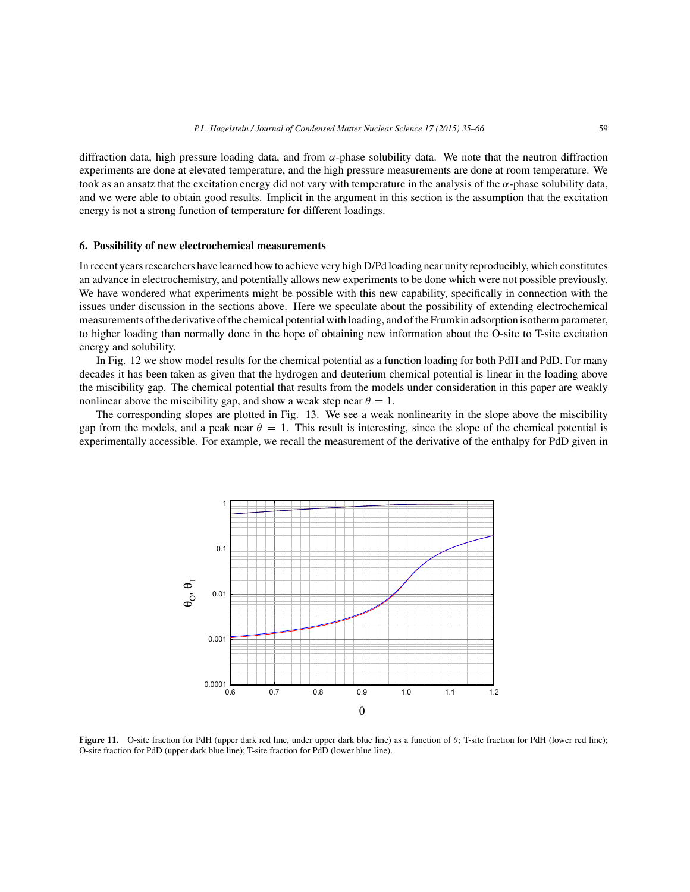diffraction data, high pressure loading data, and from α-phase solubility data. We note that the neutron diffraction experiments are done at elevated temperature, and the high pressure measurements are done at room temperature. We took as an ansatz that the excitation energy did not vary with temperature in the analysis of the α-phase solubility data, and we were able to obtain good results. Implicit in the argument in this section is the assumption that the excitation energy is not a strong function of temperature for different loadings.

# **6. Possibility of new electrochemical measurements**

In recent years researchers have learned how to achieve very high D/Pd loading near unity reproducibly, which constitutes an advance in electrochemistry, and potentially allows new experiments to be done which were not possible previously. We have wondered what experiments might be possible with this new capability, specifically in connection with the issues under discussion in the sections above. Here we speculate about the possibility of extending electrochemical measurements of the derivative of the chemical potential with loading, and of the Frumkin adsorption isotherm parameter, to higher loading than normally done in the hope of obtaining new information about the O-site to T-site excitation energy and solubility.

In Fig. 12 we show model results for the chemical potential as a function loading for both PdH and PdD. For many decades it has been taken as given that the hydrogen and deuterium chemical potential is linear in the loading above the miscibility gap. The chemical potential that results from the models under consideration in this paper are weakly nonlinear above the miscibility gap, and show a weak step near  $\theta = 1$ .

The corresponding slopes are plotted in Fig. 13. We see a weak nonlinearity in the slope above the miscibility gap from the models, and a peak near  $\theta = 1$ . This result is interesting, since the slope of the chemical potential is experimentally accessible. For example, we recall the measurement of the derivative of the enthalpy for PdD given in



**Figure 11.** O-site fraction for PdH (upper dark red line, under upper dark blue line) as a function of θ; T-site fraction for PdH (lower red line); O-site fraction for PdD (upper dark blue line); T-site fraction for PdD (lower blue line).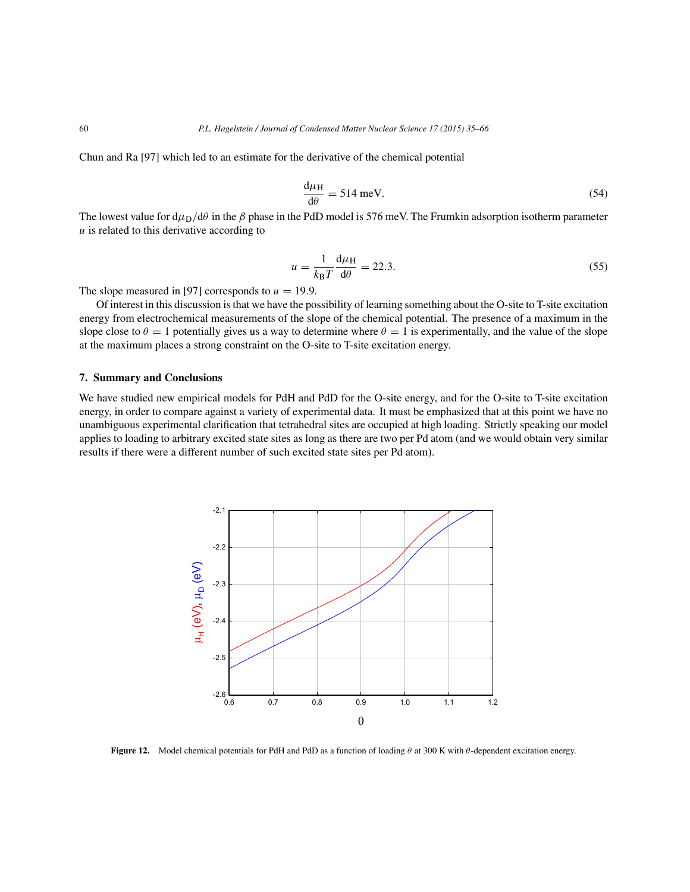Chun and Ra [97] which led to an estimate for the derivative of the chemical potential

$$
\frac{d\mu_H}{d\theta} = 514 \text{ meV}.
$$
 (54)

The lowest value for  $d\mu_D/d\theta$  in the  $\beta$  phase in the PdD model is 576 meV. The Frumkin adsorption isotherm parameter  $u$  is related to this derivative according to

$$
u = \frac{1}{k_{\rm B}T} \frac{\mathrm{d}\mu_{\rm H}}{\mathrm{d}\theta} = 22.3. \tag{55}
$$

The slope measured in [97] corresponds to  $u = 19.9$ .

Of interest in this discussion is that we have the possibility of learning something about the O-site to T-site excitation energy from electrochemical measurements of the slope of the chemical potential. The presence of a maximum in the slope close to  $\theta = 1$  potentially gives us a way to determine where  $\theta = 1$  is experimentally, and the value of the slope at the maximum places a strong constraint on the O-site to T-site excitation energy.

# **7. Summary and Conclusions**

We have studied new empirical models for PdH and PdD for the O-site energy, and for the O-site to T-site excitation energy, in order to compare against a variety of experimental data. It must be emphasized that at this point we have no unambiguous experimental clarification that tetrahedral sites are occupied at high loading. Strictly speaking our model applies to loading to arbitrary excited state sites as long as there are two per Pd atom (and we would obtain very similar results if there were a different number of such excited state sites per Pd atom).



**Figure 12.** Model chemical potentials for PdH and PdD as a function of loading θ at 300 K with θ-dependent excitation energy.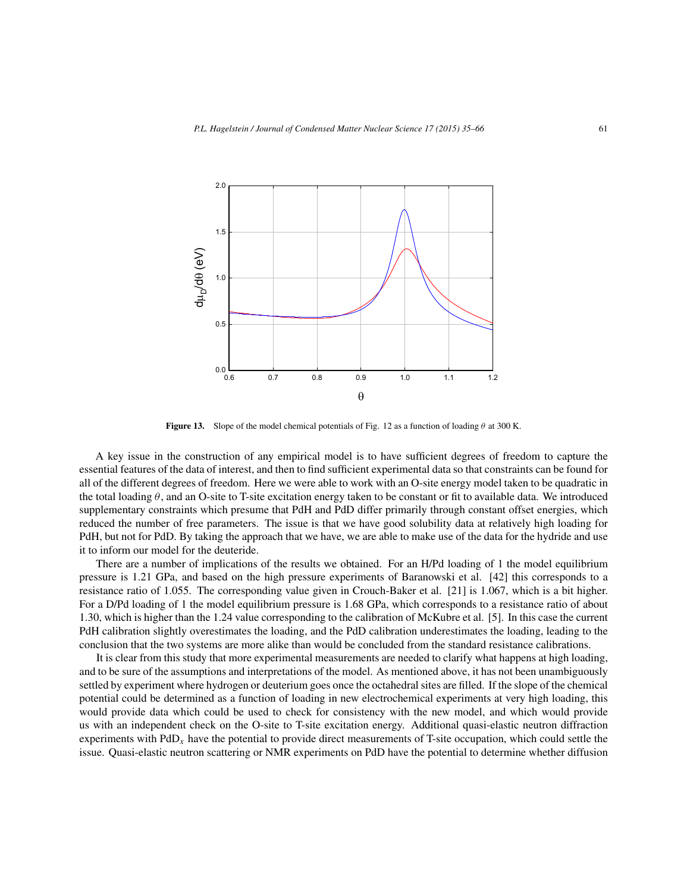

**Figure 13.** Slope of the model chemical potentials of Fig. 12 as a function of loading  $\theta$  at 300 K.

A key issue in the construction of any empirical model is to have sufficient degrees of freedom to capture the essential features of the data of interest, and then to find sufficient experimental data so that constraints can be found for all of the different degrees of freedom. Here we were able to work with an O-site energy model taken to be quadratic in the total loading  $\theta$ , and an O-site to T-site excitation energy taken to be constant or fit to available data. We introduced supplementary constraints which presume that PdH and PdD differ primarily through constant offset energies, which reduced the number of free parameters. The issue is that we have good solubility data at relatively high loading for PdH, but not for PdD. By taking the approach that we have, we are able to make use of the data for the hydride and use it to inform our model for the deuteride.

There are a number of implications of the results we obtained. For an H/Pd loading of 1 the model equilibrium pressure is 1.21 GPa, and based on the high pressure experiments of Baranowski et al. [42] this corresponds to a resistance ratio of 1.055. The corresponding value given in Crouch-Baker et al. [21] is 1.067, which is a bit higher. For a D/Pd loading of 1 the model equilibrium pressure is 1.68 GPa, which corresponds to a resistance ratio of about 1.30, which is higher than the 1.24 value corresponding to the calibration of McKubre et al. [5]. In this case the current PdH calibration slightly overestimates the loading, and the PdD calibration underestimates the loading, leading to the conclusion that the two systems are more alike than would be concluded from the standard resistance calibrations.

It is clear from this study that more experimental measurements are needed to clarify what happens at high loading, and to be sure of the assumptions and interpretations of the model. As mentioned above, it has not been unambiguously settled by experiment where hydrogen or deuterium goes once the octahedral sites are filled. If the slope of the chemical potential could be determined as a function of loading in new electrochemical experiments at very high loading, this would provide data which could be used to check for consistency with the new model, and which would provide us with an independent check on the O-site to T-site excitation energy. Additional quasi-elastic neutron diffraction experiments with  $PdD<sub>x</sub>$  have the potential to provide direct measurements of T-site occupation, which could settle the issue. Quasi-elastic neutron scattering or NMR experiments on PdD have the potential to determine whether diffusion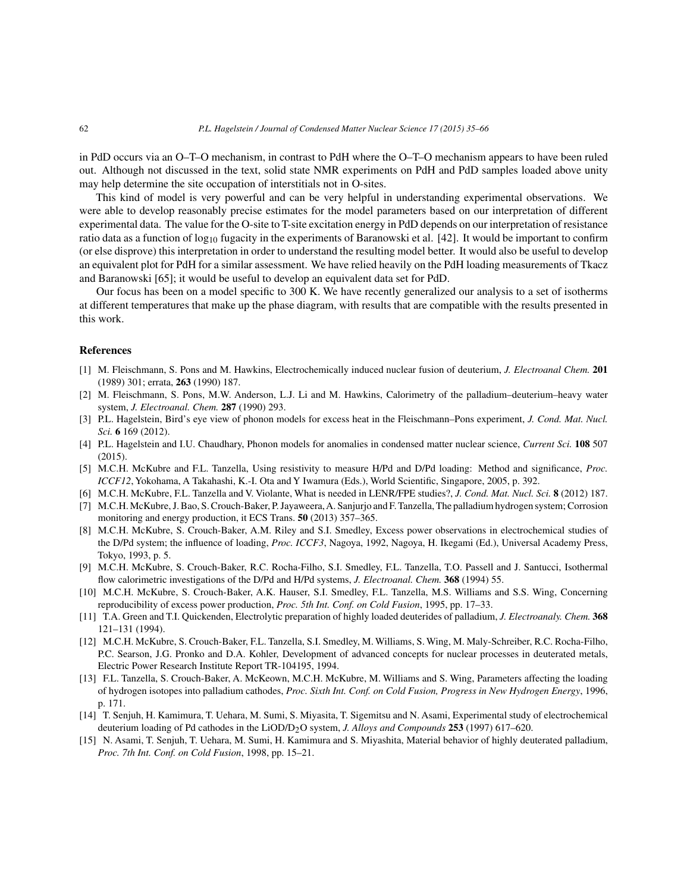in PdD occurs via an O–T–O mechanism, in contrast to PdH where the O–T–O mechanism appears to have been ruled out. Although not discussed in the text, solid state NMR experiments on PdH and PdD samples loaded above unity may help determine the site occupation of interstitials not in O-sites.

This kind of model is very powerful and can be very helpful in understanding experimental observations. We were able to develop reasonably precise estimates for the model parameters based on our interpretation of different experimental data. The value for the O-site to T-site excitation energy in PdD depends on our interpretation of resistance ratio data as a function of  $log_{10}$  fugacity in the experiments of Baranowski et al. [42]. It would be important to confirm (or else disprove) this interpretation in order to understand the resulting model better. It would also be useful to develop an equivalent plot for PdH for a similar assessment. We have relied heavily on the PdH loading measurements of Tkacz and Baranowski [65]; it would be useful to develop an equivalent data set for PdD.

Our focus has been on a model specific to 300 K. We have recently generalized our analysis to a set of isotherms at different temperatures that make up the phase diagram, with results that are compatible with the results presented in this work.

## **References**

- [1] M. Fleischmann, S. Pons and M. Hawkins, Electrochemically induced nuclear fusion of deuterium, *J. Electroanal Chem.* **201** (1989) 301; errata, **263** (1990) 187.
- [2] M. Fleischmann, S. Pons, M.W. Anderson, L.J. Li and M. Hawkins, Calorimetry of the palladium–deuterium–heavy water system, *J. Electroanal. Chem.* **287** (1990) 293.
- [3] P.L. Hagelstein, Bird's eye view of phonon models for excess heat in the Fleischmann–Pons experiment, *J. Cond. Mat. Nucl. Sci.* **6** 169 (2012).
- [4] P.L. Hagelstein and I.U. Chaudhary, Phonon models for anomalies in condensed matter nuclear science, *Current Sci.* **108** 507 (2015).
- [5] M.C.H. McKubre and F.L. Tanzella, Using resistivity to measure H/Pd and D/Pd loading: Method and significance, *Proc. ICCF12*, Yokohama, A Takahashi, K.-I. Ota and Y Iwamura (Eds.), World Scientific, Singapore, 2005, p. 392.
- [6] M.C.H. McKubre, F.L. Tanzella and V. Violante, What is needed in LENR/FPE studies?, *J. Cond. Mat. Nucl. Sci.* **8** (2012) 187.
- [7] M.C.H. McKubre, J. Bao, S. Crouch-Baker, P. Jayaweera,A. Sanjurjo and F. Tanzella, The palladium hydrogen system; Corrosion monitoring and energy production, it ECS Trans. **50** (2013) 357–365.
- [8] M.C.H. McKubre, S. Crouch-Baker, A.M. Riley and S.I. Smedley, Excess power observations in electrochemical studies of the D/Pd system; the influence of loading, *Proc. ICCF3*, Nagoya, 1992, Nagoya, H. Ikegami (Ed.), Universal Academy Press, Tokyo, 1993, p. 5.
- [9] M.C.H. McKubre, S. Crouch-Baker, R.C. Rocha-Filho, S.I. Smedley, F.L. Tanzella, T.O. Passell and J. Santucci, Isothermal flow calorimetric investigations of the D/Pd and H/Pd systems, *J. Electroanal. Chem.* **368** (1994) 55.
- [10] M.C.H. McKubre, S. Crouch-Baker, A.K. Hauser, S.I. Smedley, F.L. Tanzella, M.S. Williams and S.S. Wing, Concerning reproducibility of excess power production, *Proc. 5th Int. Conf. on Cold Fusion*, 1995, pp. 17–33.
- [11] T.A. Green and T.I. Quickenden, Electrolytic preparation of highly loaded deuterides of palladium, *J. Electroanaly. Chem.* **368** 121–131 (1994).
- [12] M.C.H. McKubre, S. Crouch-Baker, F.L. Tanzella, S.I. Smedley, M. Williams, S. Wing, M. Maly-Schreiber, R.C. Rocha-Filho, P.C. Searson, J.G. Pronko and D.A. Kohler, Development of advanced concepts for nuclear processes in deuterated metals, Electric Power Research Institute Report TR-104195, 1994.
- [13] F.L. Tanzella, S. Crouch-Baker, A. McKeown, M.C.H. McKubre, M. Williams and S. Wing, Parameters affecting the loading of hydrogen isotopes into palladium cathodes, *Proc. Sixth Int. Conf. on Cold Fusion, Progress in New Hydrogen Energy*, 1996, p. 171.
- [14] T. Senjuh, H. Kamimura, T. Uehara, M. Sumi, S. Miyasita, T. Sigemitsu and N. Asami, Experimental study of electrochemical deuterium loading of Pd cathodes in the LiOD/D2O system, *J. Alloys and Compounds* **253** (1997) 617–620.
- [15] N. Asami, T. Senjuh, T. Uehara, M. Sumi, H. Kamimura and S. Miyashita, Material behavior of highly deuterated palladium, *Proc. 7th Int. Conf. on Cold Fusion*, 1998, pp. 15–21.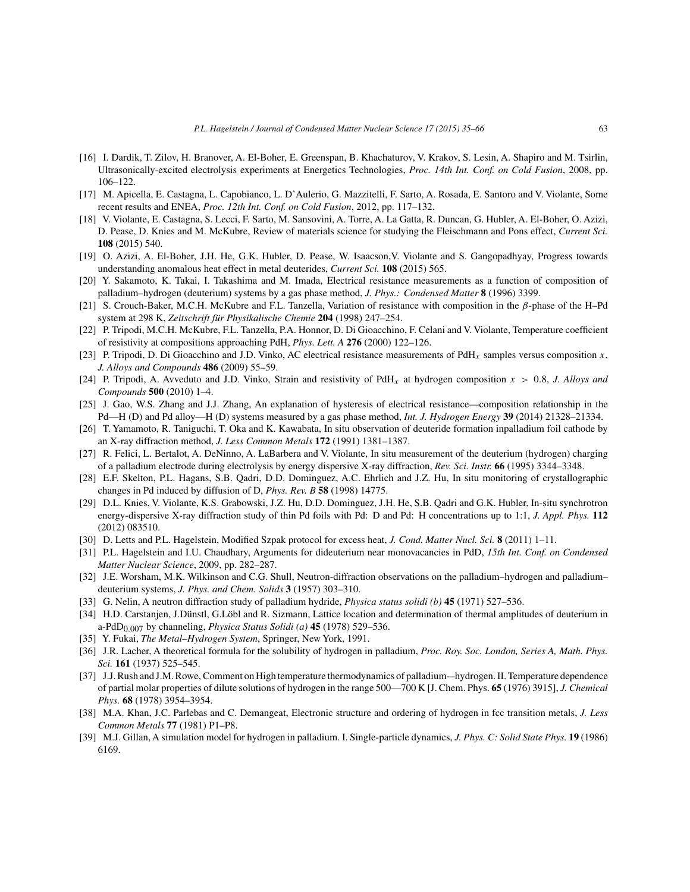- [16] I. Dardik, T. Zilov, H. Branover, A. El-Boher, E. Greenspan, B. Khachaturov, V. Krakov, S. Lesin, A. Shapiro and M. Tsirlin, Ultrasonically-excited electrolysis experiments at Energetics Technologies, *Proc. 14th Int. Conf. on Cold Fusion*, 2008, pp. 106–122.
- [17] M. Apicella, E. Castagna, L. Capobianco, L. D'Aulerio, G. Mazzitelli, F. Sarto, A. Rosada, E. Santoro and V. Violante, Some recent results and ENEA, *Proc. 12th Int. Conf. on Cold Fusion*, 2012, pp. 117–132.
- [18] V. Violante, E. Castagna, S. Lecci, F. Sarto, M. Sansovini, A. Torre, A. La Gatta, R. Duncan, G. Hubler, A. El-Boher, O. Azizi, D. Pease, D. Knies and M. McKubre, Review of materials science for studying the Fleischmann and Pons effect, *Current Sci.* **108** (2015) 540.
- [19] O. Azizi, A. El-Boher, J.H. He, G.K. Hubler, D. Pease, W. Isaacson,V. Violante and S. Gangopadhyay, Progress towards understanding anomalous heat effect in metal deuterides, *Current Sci.* **108** (2015) 565.
- [20] Y. Sakamoto, K. Takai, I. Takashima and M. Imada, Electrical resistance measurements as a function of composition of palladium–hydrogen (deuterium) systems by a gas phase method, *J. Phys.: Condensed Matter* **8** (1996) 3399.
- [21] S. Crouch-Baker, M.C.H. McKubre and F.L. Tanzella, Variation of resistance with composition in the β-phase of the H–Pd system at 298 K, *Zeitschrift für Physikalische Chemie* **204** (1998) 247–254.
- [22] P. Tripodi, M.C.H. McKubre, F.L. Tanzella, P.A. Honnor, D. Di Gioacchino, F. Celani and V. Violante, Temperature coefficient of resistivity at compositions approaching PdH, *Phys. Lett. A* **276** (2000) 122–126.
- [23] P. Tripodi, D. Di Gioacchino and J.D. Vinko, AC electrical resistance measurements of PdH<sub>x</sub> samples versus composition x, *J. Alloys and Compounds* **486** (2009) 55–59.
- [24] P. Tripodi, A. Avveduto and J.D. Vinko, Strain and resistivity of PdH<sub>x</sub> at hydrogen composition  $x > 0.8$ , *J. Alloys and Compounds* **500** (2010) 1–4.
- [25] J. Gao, W.S. Zhang and J.J. Zhang, An explanation of hysteresis of electrical resistance—composition relationship in the Pd—H (D) and Pd alloy—H (D) systems measured by a gas phase method, *Int. J. Hydrogen Energy* **39** (2014) 21328–21334.
- [26] T. Yamamoto, R. Taniguchi, T. Oka and K. Kawabata, In situ observation of deuteride formation inpalladium foil cathode by an X-ray diffraction method, *J. Less Common Metals* **172** (1991) 1381–1387.
- [27] R. Felici, L. Bertalot, A. DeNinno, A. LaBarbera and V. Violante, In situ measurement of the deuterium (hydrogen) charging of a palladium electrode during electrolysis by energy dispersive X-ray diffraction, *Rev. Sci. Instr.* **66** (1995) 3344–3348.
- [28] E.F. Skelton, P.L. Hagans, S.B. Qadri, D.D. Dominguez, A.C. Ehrlich and J.Z. Hu, In situ monitoring of crystallographic changes in Pd induced by diffusion of D, *Phys. Rev. B* **58** (1998) 14775.
- [29] D.L. Knies, V. Violante, K.S. Grabowski, J.Z. Hu, D.D. Dominguez, J.H. He, S.B. Qadri and G.K. Hubler, In-situ synchrotron energy-dispersive X-ray diffraction study of thin Pd foils with Pd: D and Pd: H concentrations up to 1:1, *J. Appl. Phys.* **112** (2012) 083510.
- [30] D. Letts and P.L. Hagelstein, Modified Szpak protocol for excess heat, *J. Cond. Matter Nucl. Sci.* **8** (2011) 1–11.
- [31] P.L. Hagelstein and I.U. Chaudhary, Arguments for dideuterium near monovacancies in PdD, *15th Int. Conf. on Condensed Matter Nuclear Science*, 2009, pp. 282–287.
- [32] J.E. Worsham, M.K. Wilkinson and C.G. Shull, Neutron-diffraction observations on the palladium–hydrogen and palladium– deuterium systems, *J. Phys. and Chem. Solids* **3** (1957) 303–310.
- [33] G. Nelin, A neutron diffraction study of palladium hydride, *Physica status solidi (b)* **45** (1971) 527–536.
- [34] H.D. Carstanjen, J.Dünstl, G.Löbl and R. Sizmann, Lattice location and determination of thermal amplitudes of deuterium in a-PdD0.007 by channeling, *Physica Status Solidi (a)* **45** (1978) 529–536.
- [35] Y. Fukai, *The Metal–Hydrogen System*, Springer, New York, 1991.
- [36] J.R. Lacher, A theoretical formula for the solubility of hydrogen in palladium, *Proc. Roy. Soc. London, Series A, Math. Phys. Sci.* **161** (1937) 525–545.
- [37] J.J. Rush and J.M. Rowe, Comment on High temperature thermodynamics of palladium-–hydrogen. II. Temperature dependence of partial molar properties of dilute solutions of hydrogen in the range 500—700 K [J. Chem. Phys. **65** (1976) 3915], *J. Chemical Phys.* **68** (1978) 3954–3954.
- [38] M.A. Khan, J.C. Parlebas and C. Demangeat, Electronic structure and ordering of hydrogen in fcc transition metals, *J. Less Common Metals* **77** (1981) P1–P8.
- [39] M.J. Gillan, A simulation model for hydrogen in palladium. I. Single-particle dynamics, *J. Phys. C: Solid State Phys.* **19** (1986) 6169.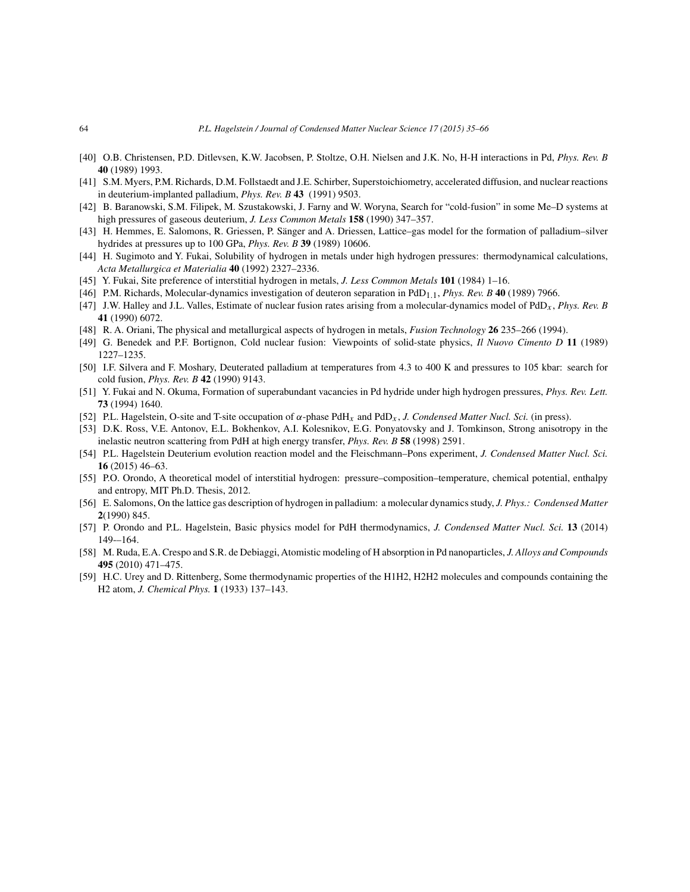- [40] O.B. Christensen, P.D. Ditlevsen, K.W. Jacobsen, P. Stoltze, O.H. Nielsen and J.K. No, H-H interactions in Pd, *Phys. Rev. B* **40** (1989) 1993.
- [41] S.M. Myers, P.M. Richards, D.M. Follstaedt and J.E. Schirber, Superstoichiometry, accelerated diffusion, and nuclear reactions in deuterium-implanted palladium, *Phys. Rev. B* **43** (1991) 9503.
- [42] B. Baranowski, S.M. Filipek, M. Szustakowski, J. Farny and W. Woryna, Search for "cold-fusion" in some Me–D systems at high pressures of gaseous deuterium, *J. Less Common Metals* **158** (1990) 347–357.
- [43] H. Hemmes, E. Salomons, R. Griessen, P. Sänger and A. Driessen, Lattice–gas model for the formation of palladium–silver hydrides at pressures up to 100 GPa, *Phys. Rev. B* **39** (1989) 10606.
- [44] H. Sugimoto and Y. Fukai, Solubility of hydrogen in metals under high hydrogen pressures: thermodynamical calculations, *Acta Metallurgica et Materialia* **40** (1992) 2327–2336.
- [45] Y. Fukai, Site preference of interstitial hydrogen in metals, *J. Less Common Metals* **101** (1984) 1–16.
- [46] P.M. Richards, Molecular-dynamics investigation of deuteron separation in PdD1.1, *Phys. Rev. B* **40** (1989) 7966.
- [47] J.W. Halley and J.L. Valles, Estimate of nuclear fusion rates arising from a molecular-dynamics model of PdDx , *Phys. Rev. B* **41** (1990) 6072.
- [48] R. A. Oriani, The physical and metallurgical aspects of hydrogen in metals, *Fusion Technology* **26** 235–266 (1994).
- [49] G. Benedek and P.F. Bortignon, Cold nuclear fusion: Viewpoints of solid-state physics, *Il Nuovo Cimento D* **11** (1989) 1227–1235.
- [50] I.F. Silvera and F. Moshary, Deuterated palladium at temperatures from 4.3 to 400 K and pressures to 105 kbar: search for cold fusion, *Phys. Rev. B* **42** (1990) 9143.
- [51] Y. Fukai and N. Okuma, Formation of superabundant vacancies in Pd hydride under high hydrogen pressures, *Phys. Rev. Lett.* **73** (1994) 1640.
- [52] P.L. Hagelstein, O-site and T-site occupation of  $\alpha$ -phase PdH<sub>x</sub> and PdD<sub>x</sub>, *J. Condensed Matter Nucl. Sci.* (in press).
- [53] D.K. Ross, V.E. Antonov, E.L. Bokhenkov, A.I. Kolesnikov, E.G. Ponyatovsky and J. Tomkinson, Strong anisotropy in the inelastic neutron scattering from PdH at high energy transfer, *Phys. Rev. B* **58** (1998) 2591.
- [54] P.L. Hagelstein Deuterium evolution reaction model and the Fleischmann–Pons experiment, *J. Condensed Matter Nucl. Sci.* **16** (2015) 46–63.
- [55] P.O. Orondo, A theoretical model of interstitial hydrogen: pressure–composition–temperature, chemical potential, enthalpy and entropy, MIT Ph.D. Thesis, 2012.
- [56] E. Salomons, On the lattice gas description of hydrogen in palladium: a molecular dynamics study, *J. Phys.: Condensed Matter* **2**(1990) 845.
- [57] P. Orondo and P.L. Hagelstein, Basic physics model for PdH thermodynamics, *J. Condensed Matter Nucl. Sci.* **13** (2014) 149-–164.
- [58] M. Ruda, E.A. Crespo and S.R. de Debiaggi, Atomistic modeling of H absorption in Pd nanoparticles, *J. Alloys and Compounds* **495** (2010) 471–475.
- [59] H.C. Urey and D. Rittenberg, Some thermodynamic properties of the H1H2, H2H2 molecules and compounds containing the H2 atom, *J. Chemical Phys.* **1** (1933) 137–143.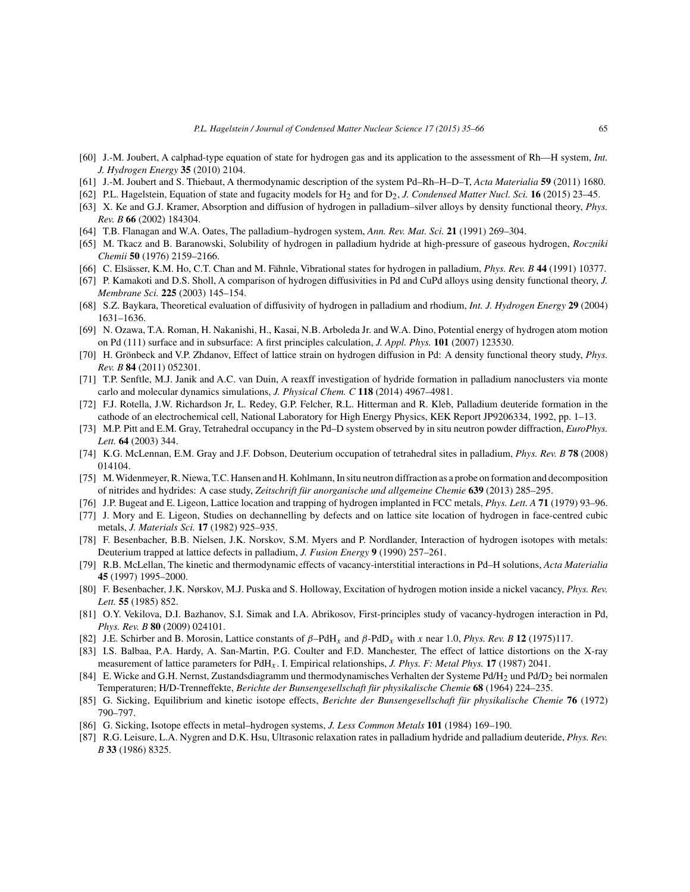- [60] J.-M. Joubert, A calphad-type equation of state for hydrogen gas and its application to the assessment of Rh—H system, *Int. J. Hydrogen Energy* **35** (2010) 2104.
- [61] J.-M. Joubert and S. Thiebaut, A thermodynamic description of the system Pd–Rh–H–D–T, *Acta Materialia* **59** (2011) 1680.
- [62] P.L. Hagelstein, Equation of state and fugacity models for H2 and for D2, *J. Condensed Matter Nucl. Sci.* **16** (2015) 23–45.
- [63] X. Ke and G.J. Kramer, Absorption and diffusion of hydrogen in palladium–silver alloys by density functional theory, *Phys. Rev. B* **66** (2002) 184304.
- [64] T.B. Flanagan and W.A. Oates, The palladium–hydrogen system, *Ann. Rev. Mat. Sci.* **21** (1991) 269–304.
- [65] M. Tkacz and B. Baranowski, Solubility of hydrogen in palladium hydride at high-pressure of gaseous hydrogen, *Roczniki Chemii* **50** (1976) 2159–2166.
- [66] C. Elsässer, K.M. Ho, C.T. Chan and M. Fähnle, Vibrational states for hydrogen in palladium, *Phys. Rev. B* **44** (1991) 10377.
- [67] P. Kamakoti and D.S. Sholl, A comparison of hydrogen diffusivities in Pd and CuPd alloys using density functional theory, *J. Membrane Sci.* **225** (2003) 145–154.
- [68] S.Z. Baykara, Theoretical evaluation of diffusivity of hydrogen in palladium and rhodium, *Int. J. Hydrogen Energy* **29** (2004) 1631–1636.
- [69] N. Ozawa, T.A. Roman, H. Nakanishi, H., Kasai, N.B. Arboleda Jr. and W.A. Dino, Potential energy of hydrogen atom motion on Pd (111) surface and in subsurface: A first principles calculation, *J. Appl. Phys.* **101** (2007) 123530.
- [70] H. Grönbeck and V.P. Zhdanov, Effect of lattice strain on hydrogen diffusion in Pd: A density functional theory study, *Phys. Rev. B* **84** (2011) 052301.
- [71] T.P. Senftle, M.J. Janik and A.C. van Duin, A reaxff investigation of hydride formation in palladium nanoclusters via monte carlo and molecular dynamics simulations, *J. Physical Chem. C* **118** (2014) 4967–4981.
- [72] F.J. Rotella, J.W. Richardson Jr, L. Redey, G.P. Felcher, R.L. Hitterman and R. Kleb, Palladium deuteride formation in the cathode of an electrochemical cell, National Laboratory for High Energy Physics, KEK Report JP9206334, 1992, pp. 1–13.
- [73] M.P. Pitt and E.M. Gray, Tetrahedral occupancy in the Pd–D system observed by in situ neutron powder diffraction, *EuroPhys. Lett.* **64** (2003) 344.
- [74] K.G. McLennan, E.M. Gray and J.F. Dobson, Deuterium occupation of tetrahedral sites in palladium, *Phys. Rev. B* **78** (2008) 014104.
- [75] M.Widenmeyer, R. Niewa, T.C. Hansen and H. Kohlmann, In situ neutron diffraction as a probe on formation and decomposition of nitrides and hydrides: A case study, *Zeitschrift für anorganische und allgemeine Chemie* **639** (2013) 285–295.
- [76] J.P. Bugeat and E. Ligeon, Lattice location and trapping of hydrogen implanted in FCC metals, *Phys. Lett. A* **71** (1979) 93–96.
- [77] J. Mory and E. Ligeon, Studies on dechannelling by defects and on lattice site location of hydrogen in face-centred cubic metals, *J. Materials Sci.* **17** (1982) 925–935.
- [78] F. Besenbacher, B.B. Nielsen, J.K. Norskov, S.M. Myers and P. Nordlander, Interaction of hydrogen isotopes with metals: Deuterium trapped at lattice defects in palladium, *J. Fusion Energy* **9** (1990) 257–261.
- [79] R.B. McLellan, The kinetic and thermodynamic effects of vacancy-interstitial interactions in Pd–H solutions, *Acta Materialia* **45** (1997) 1995–2000.
- [80] F. Besenbacher, J.K. Nørskov, M.J. Puska and S. Holloway, Excitation of hydrogen motion inside a nickel vacancy, *Phys. Rev. Lett.* **55** (1985) 852.
- [81] O.Y. Vekilova, D.I. Bazhanov, S.I. Simak and I.A. Abrikosov, First-principles study of vacancy-hydrogen interaction in Pd, *Phys. Rev. B* **80** (2009) 024101.
- [82] J.E. Schirber and B. Morosin, Lattice constants of β–PdHx and β-PdDx with x near 1.0, *Phys. Rev. B* **12** (1975)117.
- [83] I.S. Balbaa, P.A. Hardy, A. San-Martin, P.G. Coulter and F.D. Manchester, The effect of lattice distortions on the X-ray measurement of lattice parameters for PdHx . I. Empirical relationships, *J. Phys. F: Metal Phys.* **17** (1987) 2041.
- [84] E. Wicke and G.H. Nernst, Zustandsdiagramm und thermodynamisches Verhalten der Systeme Pd/H<sub>2</sub> und Pd/D<sub>2</sub> bei normalen Temperaturen; H/D-Trenneffekte, *Berichte der Bunsengesellschaft für physikalische Chemie* **68** (1964) 224–235.
- [85] G. Sicking, Equilibrium and kinetic isotope effects, *Berichte der Bunsengesellschaft für physikalische Chemie* **76** (1972) 790–797.
- [86] G. Sicking, Isotope effects in metal–hydrogen systems, *J. Less Common Metals* **101** (1984) 169–190.
- [87] R.G. Leisure, L.A. Nygren and D.K. Hsu, Ultrasonic relaxation rates in palladium hydride and palladium deuteride, *Phys. Rev. B* **33** (1986) 8325.